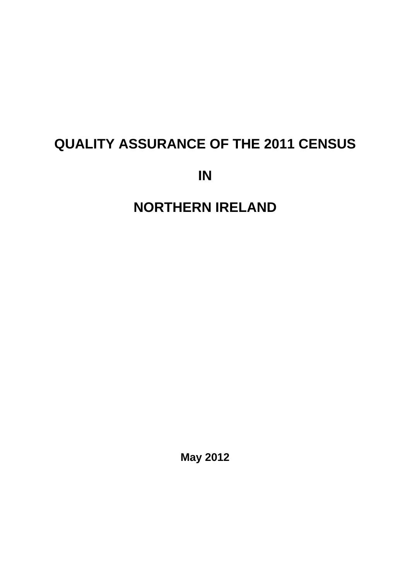# **QUALITY ASSURANCE OF THE 2011 CENSUS**

**IN** 

**NORTHERN IRELAND**

**May 2012**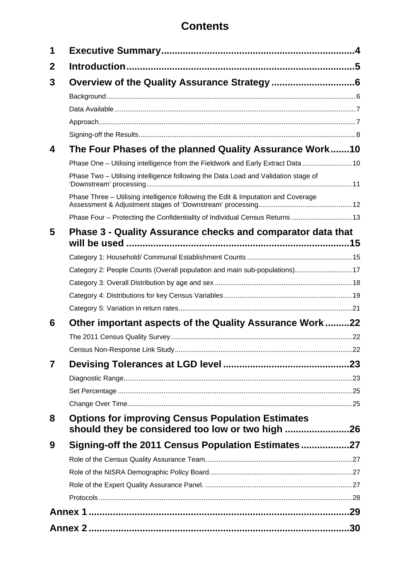# **Contents**

| 1 |                                                                                                              |    |
|---|--------------------------------------------------------------------------------------------------------------|----|
| 2 |                                                                                                              |    |
| 3 |                                                                                                              |    |
|   |                                                                                                              |    |
|   |                                                                                                              |    |
|   |                                                                                                              |    |
|   |                                                                                                              |    |
| 4 | The Four Phases of the planned Quality Assurance Work10                                                      |    |
|   | Phase One - Utilising intelligence from the Fieldwork and Early Extract Data  10                             |    |
|   | Phase Two - Utilising intelligence following the Data Load and Validation stage of                           |    |
|   | Phase Three - Utilising intelligence following the Edit & Imputation and Coverage                            |    |
|   | Phase Four - Protecting the Confidentiality of Individual Census Returns 13                                  |    |
| 5 | Phase 3 - Quality Assurance checks and comparator data that                                                  |    |
|   |                                                                                                              |    |
|   |                                                                                                              |    |
|   | Category 2: People Counts (Overall population and main sub-populations) 17                                   |    |
|   |                                                                                                              |    |
|   |                                                                                                              |    |
|   |                                                                                                              |    |
| 6 | Other important aspects of the Quality Assurance Work22                                                      |    |
|   |                                                                                                              |    |
|   |                                                                                                              | 22 |
| 7 |                                                                                                              |    |
|   |                                                                                                              |    |
|   |                                                                                                              |    |
|   |                                                                                                              |    |
| 8 | <b>Options for improving Census Population Estimates</b><br>should they be considered too low or two high 26 |    |
| 9 | Signing-off the 2011 Census Population Estimates27                                                           |    |
|   |                                                                                                              |    |
|   |                                                                                                              |    |
|   |                                                                                                              |    |
|   |                                                                                                              |    |
|   |                                                                                                              |    |
|   |                                                                                                              |    |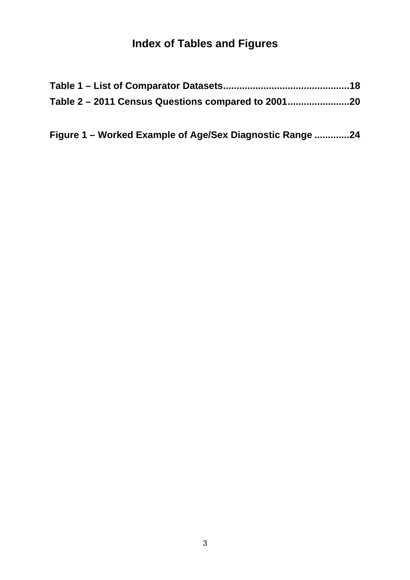# **Index of Tables and Figures**

| Table 2 - 2011 Census Questions compared to 2001 |  |
|--------------------------------------------------|--|

| Figure 1 – Worked Example of Age/Sex Diagnostic Range 24 |  |  |
|----------------------------------------------------------|--|--|
|                                                          |  |  |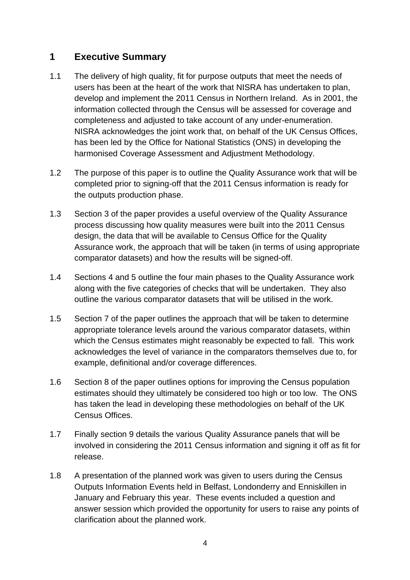## <span id="page-3-0"></span>**1 Executive Summary**

- 1.1 The delivery of high quality, fit for purpose outputs that meet the needs of users has been at the heart of the work that NISRA has undertaken to plan, develop and implement the 2011 Census in Northern Ireland. As in 2001, the information collected through the Census will be assessed for coverage and completeness and adjusted to take account of any under-enumeration. NISRA acknowledges the joint work that, on behalf of the UK Census Offices, has been led by the Office for National Statistics (ONS) in developing the harmonised Coverage Assessment and Adjustment Methodology.
- 1.2 The purpose of this paper is to outline the Quality Assurance work that will be completed prior to signing-off that the 2011 Census information is ready for the outputs production phase.
- 1.3 Section 3 of the paper provides a useful overview of the Quality Assurance process discussing how quality measures were built into the 2011 Census design, the data that will be available to Census Office for the Quality Assurance work, the approach that will be taken (in terms of using appropriate comparator datasets) and how the results will be signed-off.
- 1.4 Sections 4 and 5 outline the four main phases to the Quality Assurance work along with the five categories of checks that will be undertaken. They also outline the various comparator datasets that will be utilised in the work.
- 1.5 Section 7 of the paper outlines the approach that will be taken to determine appropriate tolerance levels around the various comparator datasets, within which the Census estimates might reasonably be expected to fall. This work acknowledges the level of variance in the comparators themselves due to, for example, definitional and/or coverage differences.
- 1.6 Section 8 of the paper outlines options for improving the Census population estimates should they ultimately be considered too high or too low. The ONS has taken the lead in developing these methodologies on behalf of the UK Census Offices.
- 1.7 Finally section 9 details the various Quality Assurance panels that will be involved in considering the 2011 Census information and signing it off as fit for release.
- 1.8 A presentation of the planned work was given to users during the Census Outputs Information Events held in Belfast, Londonderry and Enniskillen in January and February this year. These events included a question and answer session which provided the opportunity for users to raise any points of clarification about the planned work.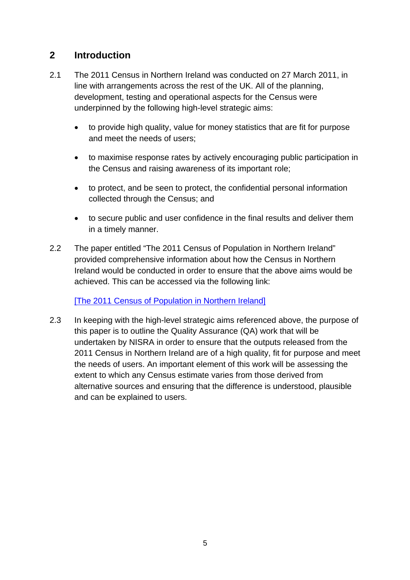# <span id="page-4-0"></span>**2 Introduction**

- 2.1 The 2011 Census in Northern Ireland was conducted on 27 March 2011, in line with arrangements across the rest of the UK. All of the planning, development, testing and operational aspects for the Census were underpinned by the following high-level strategic aims:
	- to provide high quality, value for money statistics that are fit for purpose and meet the needs of users;
	- to maximise response rates by actively encouraging public participation in the Census and raising awareness of its important role;
	- to protect, and be seen to protect, the confidential personal information collected through the Census; and
	- to secure public and user confidence in the final results and deliver them in a timely manner.
- 2.2 The paper entitled "The 2011 Census of Population in Northern Ireland" provided comprehensive information about how the Census in Northern Ireland would be conducted in order to ensure that the above aims would be achieved. This can be accessed via the following link:

[\[The 2011 Census of Population in Northern Ireland\]](http://www.nisranew.nisra.gov.uk/census/pdf/proposals.pdf)

2.3 In keeping with the high-level strategic aims referenced above, the purpose of this paper is to outline the Quality Assurance (QA) work that will be undertaken by NISRA in order to ensure that the outputs released from the 2011 Census in Northern Ireland are of a high quality, fit for purpose and meet the needs of users. An important element of this work will be assessing the extent to which any Census estimate varies from those derived from alternative sources and ensuring that the difference is understood, plausible and can be explained to users.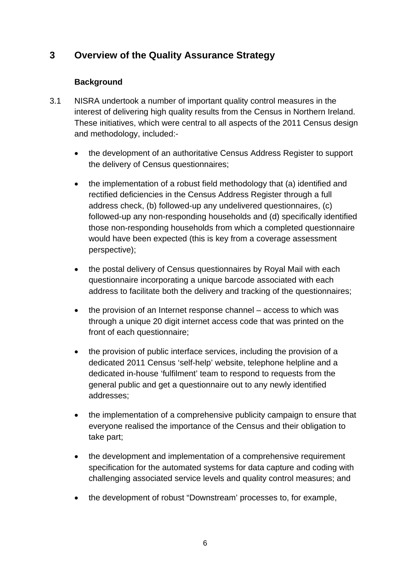# <span id="page-5-0"></span>**3 Overview of the Quality Assurance Strategy**

#### **Background**

- <span id="page-5-1"></span>3.1 NISRA undertook a number of important quality control measures in the interest of delivering high quality results from the Census in Northern Ireland. These initiatives, which were central to all aspects of the 2011 Census design and methodology, included:
	- the development of an authoritative Census Address Register to support the delivery of Census questionnaires;
	- the implementation of a robust field methodology that (a) identified and rectified deficiencies in the Census Address Register through a full address check, (b) followed-up any undelivered questionnaires, (c) followed-up any non-responding households and (d) specifically identified those non-responding households from which a completed questionnaire would have been expected (this is key from a coverage assessment perspective);
	- the postal delivery of Census questionnaires by Royal Mail with each questionnaire incorporating a unique barcode associated with each address to facilitate both the delivery and tracking of the questionnaires;
	- the provision of an Internet response channel access to which was through a unique 20 digit internet access code that was printed on the front of each questionnaire;
	- the provision of public interface services, including the provision of a dedicated 2011 Census 'self-help' website, telephone helpline and a dedicated in-house 'fulfilment' team to respond to requests from the general public and get a questionnaire out to any newly identified addresses;
	- the implementation of a comprehensive publicity campaign to ensure that everyone realised the importance of the Census and their obligation to take part;
	- the development and implementation of a comprehensive requirement specification for the automated systems for data capture and coding with challenging associated service levels and quality control measures; and
	- the development of robust "Downstream' processes to, for example,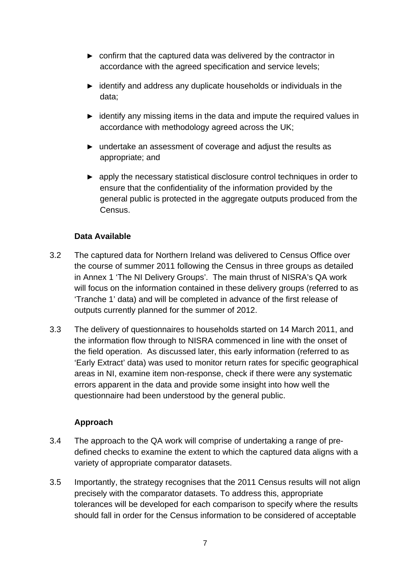- ► confirm that the captured data was delivered by the contractor in accordance with the agreed specification and service levels;
- ► identify and address any duplicate households or individuals in the data;
- ► identify any missing items in the data and impute the required values in accordance with methodology agreed across the UK;
- ► undertake an assessment of coverage and adjust the results as appropriate; and
- ► apply the necessary statistical disclosure control techniques in order to ensure that the confidentiality of the information provided by the general public is protected in the aggregate outputs produced from the Census.

#### **Data Available**

- <span id="page-6-0"></span>3.2 The captured data for Northern Ireland was delivered to Census Office over the course of summer 2011 following the Census in three groups as detailed in Annex 1 'The NI Delivery Groups'. The main thrust of NISRA's QA work will focus on the information contained in these delivery groups (referred to as 'Tranche 1' data) and will be completed in advance of the first release of outputs currently planned for the summer of 2012.
- 3.3 The delivery of questionnaires to households started on 14 March 2011, and the information flow through to NISRA commenced in line with the onset of the field operation. As discussed later, this early information (referred to as 'Early Extract' data) was used to monitor return rates for specific geographical areas in NI, examine item non-response, check if there were any systematic errors apparent in the data and provide some insight into how well the questionnaire had been understood by the general public.

#### **Approach**

- <span id="page-6-1"></span>3.4 The approach to the QA work will comprise of undertaking a range of predefined checks to examine the extent to which the captured data aligns with a variety of appropriate comparator datasets.
- 3.5 Importantly, the strategy recognises that the 2011 Census results will not align precisely with the comparator datasets. To address this, appropriate tolerances will be developed for each comparison to specify where the results should fall in order for the Census information to be considered of acceptable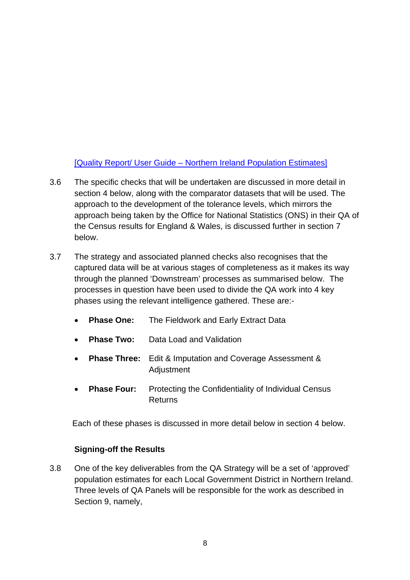### [\[Quality Report/ User Guide – Northern Ireland Population Estimates\]](http://www.nisra.gov.uk/archive/demography/population/midyear/Quality%20Report%20and%20Users%20Guide%20-%20MYE%20NI%202010.pdf)

- 3.6 The specific checks that will be undertaken are discussed in more detail in section 4 below, along with the comparator datasets that will be used. The approach to the development of the tolerance levels, which mirrors the approach being taken by the Office for National Statistics (ONS) in their QA of the Census results for England & Wales, is discussed further in section 7 below.
- 3.7 The strategy and associated planned checks also recognises that the captured data will be at various stages of completeness as it makes its way through the planned 'Downstream' processes as summarised below. The processes in question have been used to divide the QA work into 4 key phases using the relevant intelligence gathered. These are:-
	- **Phase One:** The Fieldwork and Early Extract Data
	- **Phase Two:** Data Load and Validation
	- **Phase Three:** Edit & Imputation and Coverage Assessment & Adjustment
	- **Phase Four:** Protecting the Confidentiality of Individual Census Returns

Each of these phases is discussed in more detail below in section 4 below.

#### **Signing-off the Results**

<span id="page-7-0"></span>3.8 One of the key deliverables from the QA Strategy will be a set of 'approved' population estimates for each Local Government District in Northern Ireland. Three levels of QA Panels will be responsible for the work as described in Section 9, namely,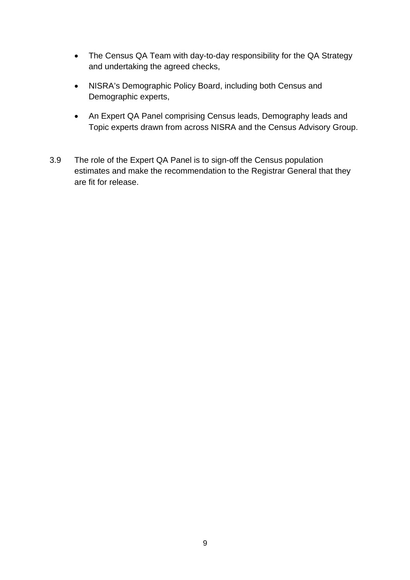- The Census QA Team with day-to-day responsibility for the QA Strategy and undertaking the agreed checks,
- NISRA's Demographic Policy Board, including both Census and Demographic experts,
- An Expert QA Panel comprising Census leads, Demography leads and Topic experts drawn from across NISRA and the Census Advisory Group.
- 3.9 The role of the Expert QA Panel is to sign-off the Census population estimates and make the recommendation to the Registrar General that they are fit for release.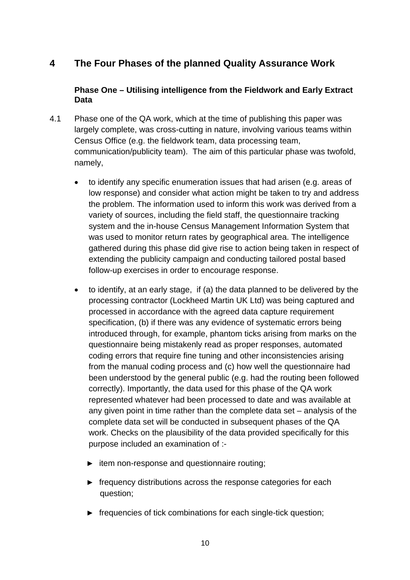# <span id="page-9-0"></span>**4 The Four Phases of the planned Quality Assurance Work**

#### **Phase One – Utilising intelligence from the Fieldwork and Early Extract Data**

- <span id="page-9-1"></span>4.1 Phase one of the QA work, which at the time of publishing this paper was largely complete, was cross-cutting in nature, involving various teams within Census Office (e.g. the fieldwork team, data processing team, communication/publicity team). The aim of this particular phase was twofold, namely,
	- to identify any specific enumeration issues that had arisen (e.g. areas of low response) and consider what action might be taken to try and address the problem. The information used to inform this work was derived from a variety of sources, including the field staff, the questionnaire tracking system and the in-house Census Management Information System that was used to monitor return rates by geographical area. The intelligence gathered during this phase did give rise to action being taken in respect of extending the publicity campaign and conducting tailored postal based follow-up exercises in order to encourage response.
	- to identify, at an early stage, if (a) the data planned to be delivered by the processing contractor (Lockheed Martin UK Ltd) was being captured and processed in accordance with the agreed data capture requirement specification, (b) if there was any evidence of systematic errors being introduced through, for example, phantom ticks arising from marks on the questionnaire being mistakenly read as proper responses, automated coding errors that require fine tuning and other inconsistencies arising from the manual coding process and (c) how well the questionnaire had been understood by the general public (e.g. had the routing been followed correctly). Importantly, the data used for this phase of the QA work represented whatever had been processed to date and was available at any given point in time rather than the complete data set – analysis of the complete data set will be conducted in subsequent phases of the QA work. Checks on the plausibility of the data provided specifically for this purpose included an examination of :-
		- ► item non-response and questionnaire routing;
		- ► frequency distributions across the response categories for each question;
		- ► frequencies of tick combinations for each single-tick question;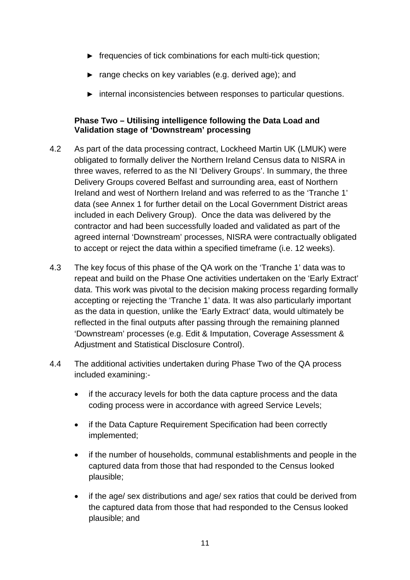- ► frequencies of tick combinations for each multi-tick question;
- ► range checks on key variables (e.g. derived age); and
- ► internal inconsistencies between responses to particular questions.

#### **Phase Two – Utilising intelligence following the Data Load and Validation stage of 'Downstream' processing**

- <span id="page-10-0"></span>4.2 As part of the data processing contract, Lockheed Martin UK (LMUK) were obligated to formally deliver the Northern Ireland Census data to NISRA in three waves, referred to as the NI 'Delivery Groups'. In summary, the three Delivery Groups covered Belfast and surrounding area, east of Northern Ireland and west of Northern Ireland and was referred to as the 'Tranche 1' data (see Annex 1 for further detail on the Local Government District areas included in each Delivery Group). Once the data was delivered by the contractor and had been successfully loaded and validated as part of the agreed internal 'Downstream' processes, NISRA were contractually obligated to accept or reject the data within a specified timeframe (i.e. 12 weeks).
- 4.3 The key focus of this phase of the QA work on the 'Tranche 1' data was to repeat and build on the Phase One activities undertaken on the 'Early Extract' data. This work was pivotal to the decision making process regarding formally accepting or rejecting the 'Tranche 1' data. It was also particularly important as the data in question, unlike the 'Early Extract' data, would ultimately be reflected in the final outputs after passing through the remaining planned 'Downstream' processes (e.g. Edit & Imputation, Coverage Assessment & Adjustment and Statistical Disclosure Control).
- 4.4 The additional activities undertaken during Phase Two of the QA process included examining:
	- if the accuracy levels for both the data capture process and the data coding process were in accordance with agreed Service Levels;
	- if the Data Capture Requirement Specification had been correctly implemented;
	- if the number of households, communal establishments and people in the captured data from those that had responded to the Census looked plausible;
	- if the age/ sex distributions and age/ sex ratios that could be derived from the captured data from those that had responded to the Census looked plausible; and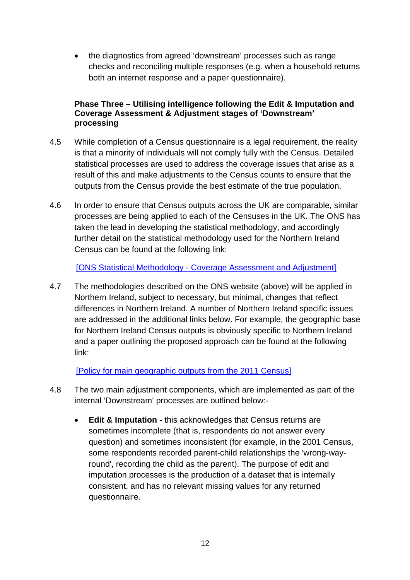the diagnostics from agreed 'downstream' processes such as range checks and reconciling multiple responses (e.g. when a household returns both an internet response and a paper questionnaire).

#### **Phase Three – Utilising intelligence following the Edit & Imputation and Coverage Assessment & Adjustment stages of 'Downstream' processing**

- <span id="page-11-0"></span>4.5 While completion of a Census questionnaire is a legal requirement, the reality is that a minority of individuals will not comply fully with the Census. Detailed statistical processes are used to address the coverage issues that arise as a result of this and make adjustments to the Census counts to ensure that the outputs from the Census provide the best estimate of the true population.
- 4.6 In order to ensure that Census outputs across the UK are comparable, similar processes are being applied to each of the Censuses in the UK. The ONS has taken the lead in developing the statistical methodology, and accordingly further detail on the statistical methodology used for the Northern Ireland Census can be found at the following link:

[\[ONS Statistical Methodology - Coverage Assessment and Adjustment\]](http://www.ons.gov.uk/ons/guide-method/census/2011/the-2011-census/processing-the-information/statistical-methodology/index.html)

4.7 The methodologies described on the ONS website (above) will be applied in Northern Ireland, subject to necessary, but minimal, changes that reflect differences in Northern Ireland. A number of Northern Ireland specific issues are addressed in the additional links below. For example, the geographic base for Northern Ireland Census outputs is obviously specific to Northern Ireland and a paper outlining the proposed approach can be found at the following link:

[\[Policy for main geographic outputs from the 2011 Census\]](http://www.nisra.gov.uk/Census/pdf/2011_Geographic_Outputs.pdf)

- 4.8 The two main adjustment components, which are implemented as part of the internal 'Downstream' processes are outlined below:-
	- **Edit & Imputation** this acknowledges that Census returns are sometimes incomplete (that is, respondents do not answer every question) and sometimes inconsistent (for example, in the 2001 Census, some respondents recorded parent-child relationships the 'wrong-wayround', recording the child as the parent). The purpose of edit and imputation processes is the production of a dataset that is internally consistent, and has no relevant missing values for any returned questionnaire.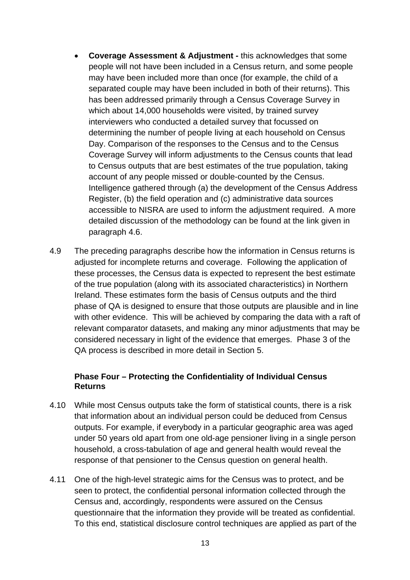- **Coverage Assessment & Adjustment** this acknowledges that some people will not have been included in a Census return, and some people may have been included more than once (for example, the child of a separated couple may have been included in both of their returns). This has been addressed primarily through a Census Coverage Survey in which about 14,000 households were visited, by trained survey interviewers who conducted a detailed survey that focussed on determining the number of people living at each household on Census Day. Comparison of the responses to the Census and to the Census Coverage Survey will inform adjustments to the Census counts that lead to Census outputs that are best estimates of the true population, taking account of any people missed or double-counted by the Census. Intelligence gathered through (a) the development of the Census Address Register, (b) the field operation and (c) administrative data sources accessible to NISRA are used to inform the adjustment required. A more detailed discussion of the methodology can be found at the link given in paragraph 4.6.
- 4.9 The preceding paragraphs describe how the information in Census returns is adjusted for incomplete returns and coverage. Following the application of these processes, the Census data is expected to represent the best estimate of the true population (along with its associated characteristics) in Northern Ireland. These estimates form the basis of Census outputs and the third phase of QA is designed to ensure that those outputs are plausible and in line with other evidence. This will be achieved by comparing the data with a raft of relevant comparator datasets, and making any minor adjustments that may be considered necessary in light of the evidence that emerges. Phase 3 of the QA process is described in more detail in Section 5.

#### **Phase Four – Protecting the Confidentiality of Individual Census Returns**

- <span id="page-12-0"></span>4.10 While most Census outputs take the form of statistical counts, there is a risk that information about an individual person could be deduced from Census outputs. For example, if everybody in a particular geographic area was aged under 50 years old apart from one old-age pensioner living in a single person household, a cross-tabulation of age and general health would reveal the response of that pensioner to the Census question on general health.
- 4.11 One of the high-level strategic aims for the Census was to protect, and be seen to protect, the confidential personal information collected through the Census and, accordingly, respondents were assured on the Census questionnaire that the information they provide will be treated as confidential. To this end, statistical disclosure control techniques are applied as part of the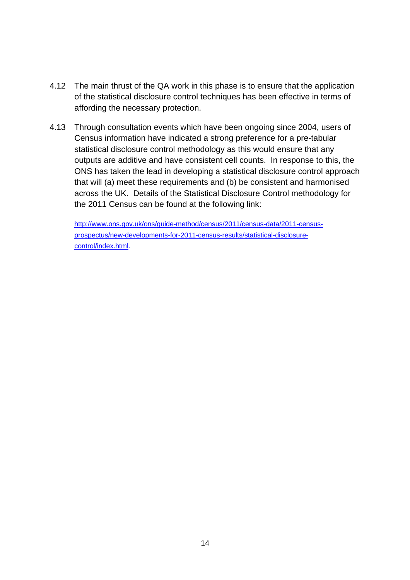- 4.12 The main thrust of the QA work in this phase is to ensure that the application of the statistical disclosure control techniques has been effective in terms of affording the necessary protection.
- 4.13 Through consultation events which have been ongoing since 2004, users of Census information have indicated a strong preference for a pre-tabular statistical disclosure control methodology as this would ensure that any outputs are additive and have consistent cell counts. In response to this, the ONS has taken the lead in developing a statistical disclosure control approach that will (a) meet these requirements and (b) be consistent and harmonised across the UK. Details of the Statistical Disclosure Control methodology for the 2011 Census can be found at the following link:

[http://www.ons.gov.uk/ons/guide-method/census/2011/census-data/2011-census](http://www.ons.gov.uk/ons/guide-method/census/2011/census-data/2011-census-prospectus/new-developments-for-2011-census-results/statistical-disclosure-control/index.html)[prospectus/new-developments-for-2011-census-results/statistical-disclosure](http://www.ons.gov.uk/ons/guide-method/census/2011/census-data/2011-census-prospectus/new-developments-for-2011-census-results/statistical-disclosure-control/index.html)[control/index.html](http://www.ons.gov.uk/ons/guide-method/census/2011/census-data/2011-census-prospectus/new-developments-for-2011-census-results/statistical-disclosure-control/index.html).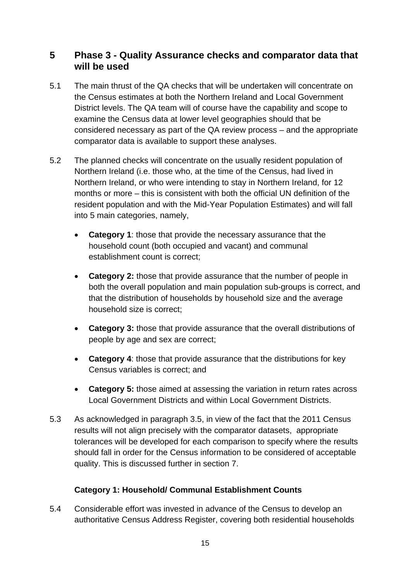# <span id="page-14-0"></span>**5 Phase 3 - Quality Assurance checks and comparator data that will be used**

- 5.1 The main thrust of the QA checks that will be undertaken will concentrate on the Census estimates at both the Northern Ireland and Local Government District levels. The QA team will of course have the capability and scope to examine the Census data at lower level geographies should that be considered necessary as part of the QA review process – and the appropriate comparator data is available to support these analyses.
- 5.2 The planned checks will concentrate on the usually resident population of Northern Ireland (i.e. those who, at the time of the Census, had lived in Northern Ireland, or who were intending to stay in Northern Ireland, for 12 months or more – this is consistent with both the official UN definition of the resident population and with the Mid-Year Population Estimates) and will fall into 5 main categories, namely,
	- **Category 1**: those that provide the necessary assurance that the household count (both occupied and vacant) and communal establishment count is correct;
	- **Category 2:** those that provide assurance that the number of people in both the overall population and main population sub-groups is correct, and that the distribution of households by household size and the average household size is correct;
	- **Category 3:** those that provide assurance that the overall distributions of people by age and sex are correct;
	- **Category 4**: those that provide assurance that the distributions for key Census variables is correct; and
	- **Category 5:** those aimed at assessing the variation in return rates across Local Government Districts and within Local Government Districts.
- 5.3 As acknowledged in paragraph 3.5, in view of the fact that the 2011 Census results will not align precisely with the comparator datasets, appropriate tolerances will be developed for each comparison to specify where the results should fall in order for the Census information to be considered of acceptable quality. This is discussed further in section 7.

### **Category 1: Household/ Communal Establishment Counts**

<span id="page-14-1"></span>5.4 Considerable effort was invested in advance of the Census to develop an authoritative Census Address Register, covering both residential households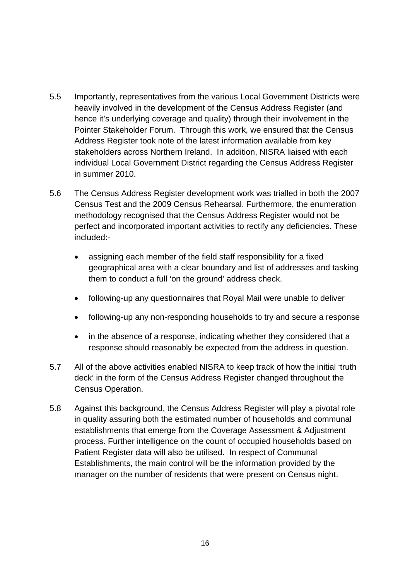- 5.5 Importantly, representatives from the various Local Government Districts were heavily involved in the development of the Census Address Register (and hence it's underlying coverage and quality) through their involvement in the Pointer Stakeholder Forum. Through this work, we ensured that the Census Address Register took note of the latest information available from key stakeholders across Northern Ireland. In addition, NISRA liaised with each individual Local Government District regarding the Census Address Register in summer 2010.
- 5.6 The Census Address Register development work was trialled in both the 2007 Census Test and the 2009 Census Rehearsal. Furthermore, the enumeration methodology recognised that the Census Address Register would not be perfect and incorporated important activities to rectify any deficiencies. These included:
	- assigning each member of the field staff responsibility for a fixed geographical area with a clear boundary and list of addresses and tasking them to conduct a full 'on the ground' address check.
	- following-up any questionnaires that Royal Mail were unable to deliver
	- following-up any non-responding households to try and secure a response
	- in the absence of a response, indicating whether they considered that a response should reasonably be expected from the address in question.
- 5.7 All of the above activities enabled NISRA to keep track of how the initial 'truth deck' in the form of the Census Address Register changed throughout the Census Operation.
- 5.8 Against this background, the Census Address Register will play a pivotal role in quality assuring both the estimated number of households and communal establishments that emerge from the Coverage Assessment & Adjustment process. Further intelligence on the count of occupied households based on Patient Register data will also be utilised. In respect of Communal Establishments, the main control will be the information provided by the manager on the number of residents that were present on Census night.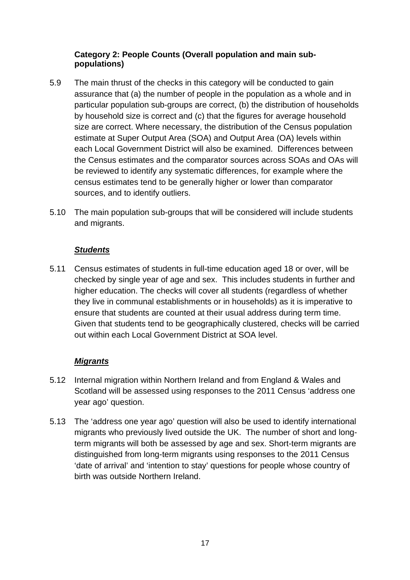#### **Category 2: People Counts (Overall population and main subpopulations)**

- <span id="page-16-0"></span>5.9 The main thrust of the checks in this category will be conducted to gain assurance that (a) the number of people in the population as a whole and in particular population sub-groups are correct, (b) the distribution of households by household size is correct and (c) that the figures for average household size are correct. Where necessary, the distribution of the Census population estimate at Super Output Area (SOA) and Output Area (OA) levels within each Local Government District will also be examined. Differences between the Census estimates and the comparator sources across SOAs and OAs will be reviewed to identify any systematic differences, for example where the census estimates tend to be generally higher or lower than comparator sources, and to identify outliers.
- 5.10 The main population sub-groups that will be considered will include students and migrants.

#### *Students*

5.11 Census estimates of students in full-time education aged 18 or over, will be checked by single year of age and sex. This includes students in further and higher education. The checks will cover all students (regardless of whether they live in communal establishments or in households) as it is imperative to ensure that students are counted at their usual address during term time. Given that students tend to be geographically clustered, checks will be carried out within each Local Government District at SOA level.

#### *Migrants*

- 5.12 Internal migration within Northern Ireland and from England & Wales and Scotland will be assessed using responses to the 2011 Census 'address one year ago' question.
- 5.13 The 'address one year ago' question will also be used to identify international migrants who previously lived outside the UK. The number of short and longterm migrants will both be assessed by age and sex. Short-term migrants are distinguished from long-term migrants using responses to the 2011 Census 'date of arrival' and 'intention to stay' questions for people whose country of birth was outside Northern Ireland.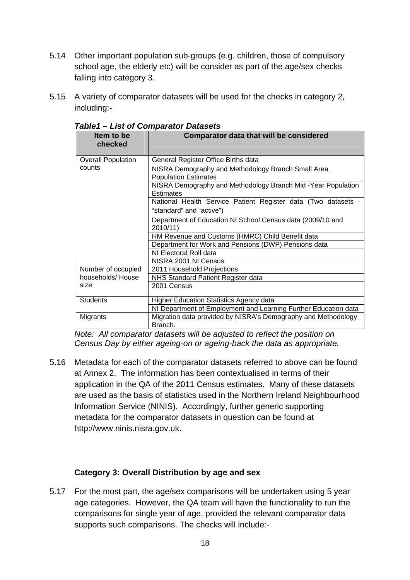- 5.14 Other important population sub-groups (e.g. children, those of compulsory school age, the elderly etc) will be consider as part of the age/sex checks falling into category 3.
- <span id="page-17-1"></span>5.15 A variety of comparator datasets will be used for the checks in category 2, including:-

| Item to be<br>checked     | <b>Comparator data that will be considered</b>                                            |
|---------------------------|-------------------------------------------------------------------------------------------|
| <b>Overall Population</b> | General Register Office Births data                                                       |
| counts                    | NISRA Demography and Methodology Branch Small Area<br><b>Population Estimates</b>         |
|                           | NISRA Demography and Methodology Branch Mid - Year Population<br>Estimates                |
|                           | National Health Service Patient Register data (Two datasets -<br>"standard" and "active") |
|                           | Department of Education NI School Census data (2009/10 and<br>2010/11)                    |
|                           | HM Revenue and Customs (HMRC) Child Benefit data                                          |
|                           | Department for Work and Pensions (DWP) Pensions data                                      |
|                           | NI Electoral Roll data                                                                    |
|                           | NISRA 2001 NI Census                                                                      |
| Number of occupied        | 2011 Household Projections                                                                |
| households/House          | NHS Standard Patient Register data                                                        |
| size                      | 2001 Census                                                                               |
| <b>Students</b>           | <b>Higher Education Statistics Agency data</b>                                            |
|                           | NI Department of Employment and Learning Further Education data                           |
| Migrants                  | Migration data provided by NISRA's Demography and Methodology<br>Branch.                  |

#### *Table1 – List of Comparator Datasets*

*Note: All comparator datasets will be adjusted to reflect the position on Census Day by either ageing-on or ageing-back the data as appropriate.* 

5.16 Metadata for each of the comparator datasets referred to above can be found at Annex 2. The information has been contextualised in terms of their application in the QA of the 2011 Census estimates. Many of these datasets are used as the basis of statistics used in the Northern Ireland Neighbourhood Information Service (NINIS). Accordingly, further generic supporting metadata for the comparator datasets in question can be found at [http://www.ninis.nisra.gov.uk](http://www.ninis.nisra.gov.uk/).

#### **Category 3: Overall Distribution by age and sex**

<span id="page-17-0"></span>5.17 For the most part, the age/sex comparisons will be undertaken using 5 year age categories. However, the QA team will have the functionality to run the comparisons for single year of age, provided the relevant comparator data supports such comparisons. The checks will include:-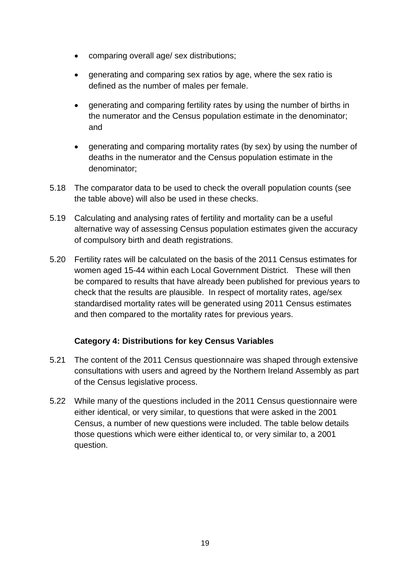- comparing overall age/ sex distributions;
- generating and comparing sex ratios by age, where the sex ratio is defined as the number of males per female.
- generating and comparing fertility rates by using the number of births in the numerator and the Census population estimate in the denominator; and
- generating and comparing mortality rates (by sex) by using the number of deaths in the numerator and the Census population estimate in the denominator;
- 5.18 The comparator data to be used to check the overall population counts (see the table above) will also be used in these checks.
- 5.19 Calculating and analysing rates of fertility and mortality can be a useful alternative way of assessing Census population estimates given the accuracy of compulsory birth and death registrations.
- 5.20 Fertility rates will be calculated on the basis of the 2011 Census estimates for women aged 15-44 within each Local Government District. These will then be compared to results that have already been published for previous years to check that the results are plausible. In respect of mortality rates, age/sex standardised mortality rates will be generated using 2011 Census estimates and then compared to the mortality rates for previous years.

#### **Category 4: Distributions for key Census Variables**

- <span id="page-18-0"></span>5.21 The content of the 2011 Census questionnaire was shaped through extensive consultations with users and agreed by the Northern Ireland Assembly as part of the Census legislative process.
- 5.22 While many of the questions included in the 2011 Census questionnaire were either identical, or very similar, to questions that were asked in the 2001 Census, a number of new questions were included. The table below details those questions which were either identical to, or very similar to, a 2001 question.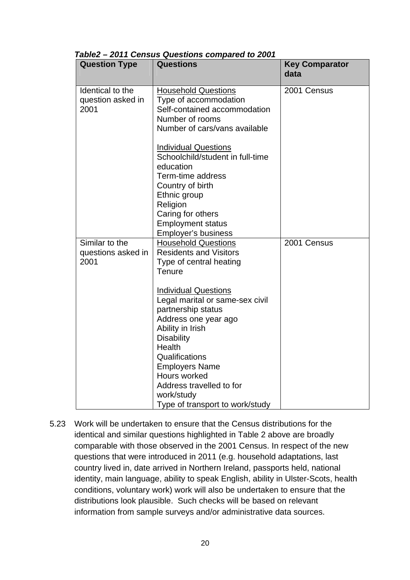| <b>Question Type</b> | <b>Questions</b>                 | <b>Key Comparator</b><br>data |
|----------------------|----------------------------------|-------------------------------|
|                      |                                  |                               |
| Identical to the     | <b>Household Questions</b>       | 2001 Census                   |
| question asked in    | Type of accommodation            |                               |
| 2001                 | Self-contained accommodation     |                               |
|                      | Number of rooms                  |                               |
|                      | Number of cars/vans available    |                               |
|                      |                                  |                               |
|                      | <b>Individual Questions</b>      |                               |
|                      | Schoolchild/student in full-time |                               |
|                      | education                        |                               |
|                      | Term-time address                |                               |
|                      | Country of birth                 |                               |
|                      | Ethnic group                     |                               |
|                      | Religion                         |                               |
|                      | Caring for others                |                               |
|                      | <b>Employment status</b>         |                               |
|                      | Employer's business              |                               |
| Similar to the       | <b>Household Questions</b>       | 2001 Census                   |
| questions asked in   | <b>Residents and Visitors</b>    |                               |
| 2001                 | Type of central heating          |                               |
|                      | Tenure                           |                               |
|                      | <b>Individual Questions</b>      |                               |
|                      | Legal marital or same-sex civil  |                               |
|                      | partnership status               |                               |
|                      | Address one year ago             |                               |
|                      | Ability in Irish                 |                               |
|                      | <b>Disability</b>                |                               |
|                      | Health                           |                               |
|                      | Qualifications                   |                               |
|                      | <b>Employers Name</b>            |                               |
|                      | Hours worked                     |                               |
|                      | Address travelled to for         |                               |
|                      | work/study                       |                               |
|                      | Type of transport to work/study  |                               |

|  | Table2 - 2011 Census Questions compared to 2001 |  |  |
|--|-------------------------------------------------|--|--|
|  |                                                 |  |  |

<span id="page-19-0"></span>5.23 Work will be undertaken to ensure that the Census distributions for the identical and similar questions highlighted in Table 2 above are broadly comparable with those observed in the 2001 Census. In respect of the new questions that were introduced in 2011 (e.g. household adaptations, last country lived in, date arrived in Northern Ireland, passports held, national identity, main language, ability to speak English, ability in Ulster-Scots, health conditions, voluntary work) work will also be undertaken to ensure that the distributions look plausible. Such checks will be based on relevant information from sample surveys and/or administrative data sources.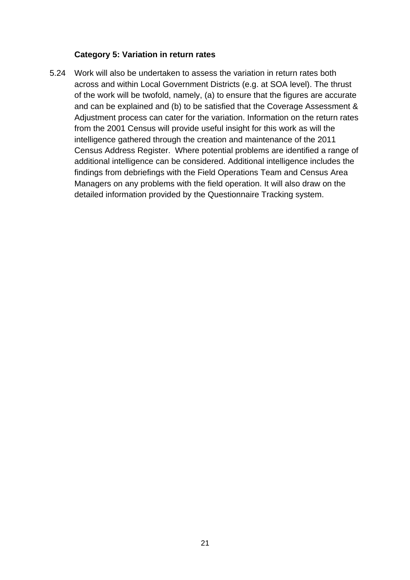#### **Category 5: Variation in return rates**

<span id="page-20-0"></span>5.24 Work will also be undertaken to assess the variation in return rates both across and within Local Government Districts (e.g. at SOA level). The thrust of the work will be twofold, namely, (a) to ensure that the figures are accurate and can be explained and (b) to be satisfied that the Coverage Assessment & Adjustment process can cater for the variation. Information on the return rates from the 2001 Census will provide useful insight for this work as will the intelligence gathered through the creation and maintenance of the 2011 Census Address Register. Where potential problems are identified a range of additional intelligence can be considered. Additional intelligence includes the findings from debriefings with the Field Operations Team and Census Area Managers on any problems with the field operation. It will also draw on the detailed information provided by the Questionnaire Tracking system.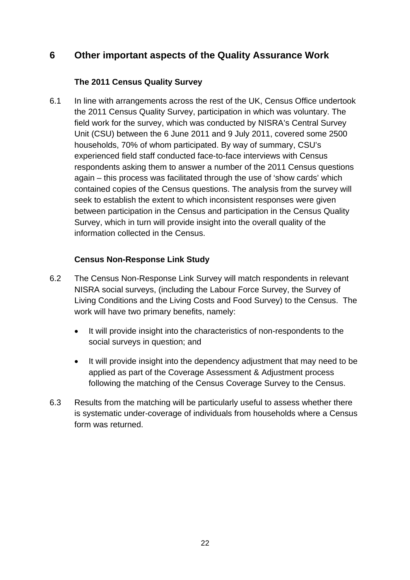# <span id="page-21-0"></span>**6 Other important aspects of the Quality Assurance Work**

#### **The 2011 Census Quality Survey**

<span id="page-21-1"></span>6.1 In line with arrangements across the rest of the UK, Census Office undertook the 2011 Census Quality Survey, participation in which was voluntary. The field work for the survey, which was conducted by NISRA's Central Survey Unit (CSU) between the 6 June 2011 and 9 July 2011, covered some 2500 households, 70% of whom participated. By way of summary, CSU's experienced field staff conducted face-to-face interviews with Census respondents asking them to answer a number of the 2011 Census questions again – this process was facilitated through the use of 'show cards' which contained copies of the Census questions. The analysis from the survey will seek to establish the extent to which inconsistent responses were given between participation in the Census and participation in the Census Quality Survey, which in turn will provide insight into the overall quality of the information collected in the Census.

#### **Census Non-Response Link Study**

- <span id="page-21-2"></span>6.2 The Census Non-Response Link Survey will match respondents in relevant NISRA social surveys, (including the Labour Force Survey, the Survey of Living Conditions and the Living Costs and Food Survey) to the Census. The work will have two primary benefits, namely:
	- It will provide insight into the characteristics of non-respondents to the social surveys in question; and
	- It will provide insight into the dependency adjustment that may need to be applied as part of the Coverage Assessment & Adjustment process following the matching of the Census Coverage Survey to the Census.
- 6.3 Results from the matching will be particularly useful to assess whether there is systematic under-coverage of individuals from households where a Census form was returned.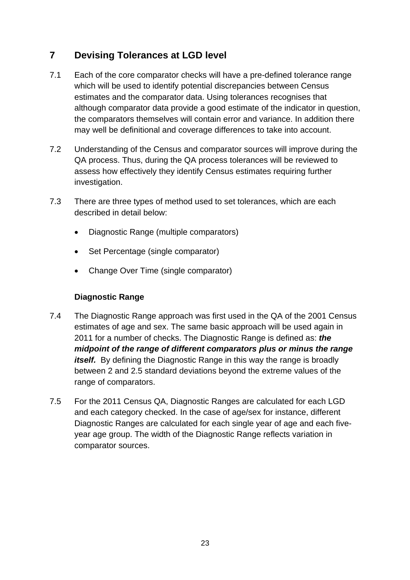# <span id="page-22-0"></span>**7 Devising Tolerances at LGD level**

- 7.1 Each of the core comparator checks will have a pre-defined tolerance range which will be used to identify potential discrepancies between Census estimates and the comparator data. Using tolerances recognises that although comparator data provide a good estimate of the indicator in question, the comparators themselves will contain error and variance. In addition there may well be definitional and coverage differences to take into account.
- 7.2 Understanding of the Census and comparator sources will improve during the QA process. Thus, during the QA process tolerances will be reviewed to assess how effectively they identify Census estimates requiring further investigation.
- 7.3 There are three types of method used to set tolerances, which are each described in detail below:
	- Diagnostic Range (multiple comparators)
	- Set Percentage (single comparator)
	- Change Over Time (single comparator)

#### **Diagnostic Range**

- 7.4 The Diagnostic Range approach was first used in the QA of the 2001 Census estimates of age and sex. The same basic approach will be used again in 2011 for a number of checks. The Diagnostic Range is defined as: *the midpoint of the range of different comparators plus or minus the range itself.* By defining the Diagnostic Range in this way the range is broadly between 2 and 2.5 standard deviations beyond the extreme values of the range of comparators.
- 7.5 For the 2011 Census QA, Diagnostic Ranges are calculated for each LGD and each category checked. In the case of age/sex for instance, different Diagnostic Ranges are calculated for each single year of age and each fiveyear age group. The width of the Diagnostic Range reflects variation in comparator sources.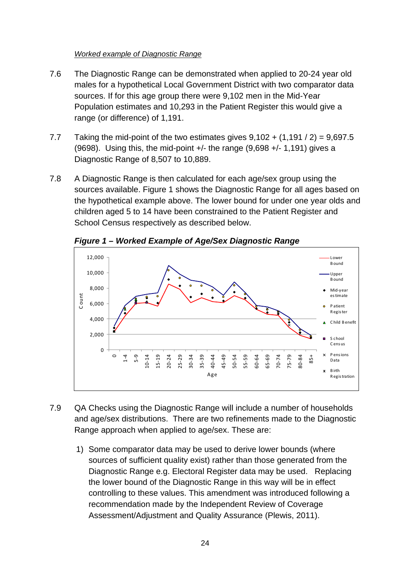#### *Worked example of Diagnostic Range*

- 7.6 The Diagnostic Range can be demonstrated when applied to 20-24 year old males for a hypothetical Local Government District with two comparator data sources. If for this age group there were 9,102 men in the Mid-Year Population estimates and 10,293 in the Patient Register this would give a range (or difference) of 1,191.
- 7.7 Taking the mid-point of the two estimates gives  $9.102 + (1.191 / 2) = 9.697.5$ (9698). Using this, the mid-point  $+/-$  the range (9.698  $+/-$  1.191) gives a Diagnostic Range of 8,507 to 10,889.
- 7.8 A Diagnostic Range is then calculated for each age/sex group using the sources available. Figure 1 shows the Diagnostic Range for all ages based on the hypothetical example above. The lower bound for under one year olds and children aged 5 to 14 have been constrained to the Patient Register and School Census respectively as described below.

<span id="page-23-0"></span>

*Figure 1 – Worked Example of Age/Sex Diagnostic Range* 

- 7.9 QA Checks using the Diagnostic Range will include a number of households and age/sex distributions. There are two refinements made to the Diagnostic Range approach when applied to age/sex. These are:
	- 1) Some comparator data may be used to derive lower bounds (where sources of sufficient quality exist) rather than those generated from the Diagnostic Range e.g. Electoral Register data may be used. Replacing the lower bound of the Diagnostic Range in this way will be in effect controlling to these values. This amendment was introduced following a recommendation made by the Independent Review of Coverage Assessment/Adjustment and Quality Assurance (Plewis, 2011).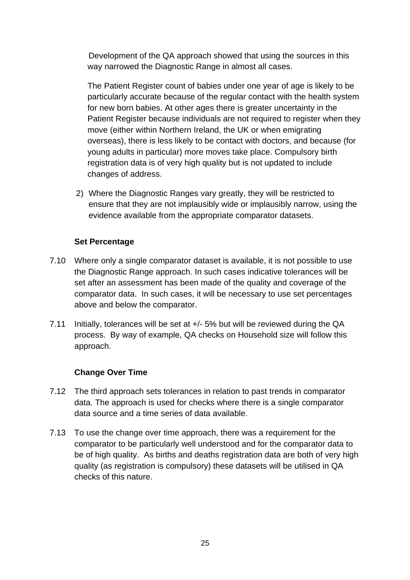Development of the QA approach showed that using the sources in this way narrowed the Diagnostic Range in almost all cases.

The Patient Register count of babies under one year of age is likely to be particularly accurate because of the regular contact with the health system for new born babies. At other ages there is greater uncertainty in the Patient Register because individuals are not required to register when they move (either within Northern Ireland, the UK or when emigrating overseas), there is less likely to be contact with doctors, and because (for young adults in particular) more moves take place. Compulsory birth registration data is of very high quality but is not updated to include changes of address.

2) Where the Diagnostic Ranges vary greatly, they will be restricted to ensure that they are not implausibly wide or implausibly narrow, using the evidence available from the appropriate comparator datasets.

#### **Set Percentage**

- <span id="page-24-0"></span>7.10 Where only a single comparator dataset is available, it is not possible to use the Diagnostic Range approach. In such cases indicative tolerances will be set after an assessment has been made of the quality and coverage of the comparator data. In such cases, it will be necessary to use set percentages above and below the comparator.
- 7.11 Initially, tolerances will be set at +/- 5% but will be reviewed during the QA process. By way of example, QA checks on Household size will follow this approach.

#### **Change Over Time**

- <span id="page-24-1"></span>7.12 The third approach sets tolerances in relation to past trends in comparator data. The approach is used for checks where there is a single comparator data source and a time series of data available.
- 7.13 To use the change over time approach, there was a requirement for the comparator to be particularly well understood and for the comparator data to be of high quality. As births and deaths registration data are both of very high quality (as registration is compulsory) these datasets will be utilised in QA checks of this nature.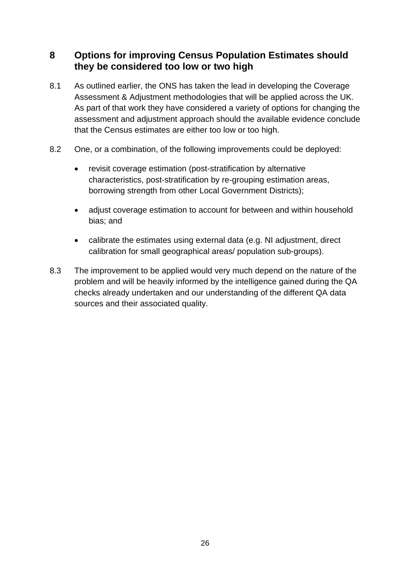# <span id="page-25-0"></span>**8 Options for improving Census Population Estimates should they be considered too low or two high**

- 8.1 As outlined earlier, the ONS has taken the lead in developing the Coverage Assessment & Adjustment methodologies that will be applied across the UK. As part of that work they have considered a variety of options for changing the assessment and adjustment approach should the available evidence conclude that the Census estimates are either too low or too high.
- 8.2 One, or a combination, of the following improvements could be deployed:
	- revisit coverage estimation (post-stratification by alternative characteristics, post-stratification by re-grouping estimation areas, borrowing strength from other Local Government Districts);
	- adjust coverage estimation to account for between and within household bias; and
	- calibrate the estimates using external data (e.g. NI adjustment, direct calibration for small geographical areas/ population sub-groups).
- 8.3 The improvement to be applied would very much depend on the nature of the problem and will be heavily informed by the intelligence gained during the QA checks already undertaken and our understanding of the different QA data sources and their associated quality.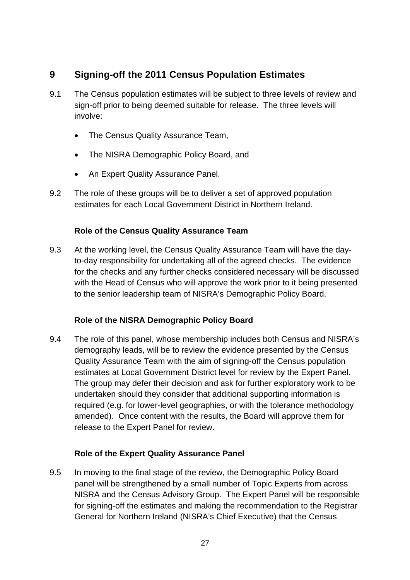# **9 Signing-off the 2011 Census Population Estimates**

- 9.1 The Census population estimates will be subject to three levels of review and sign-off prior to being deemed suitable for release. The three levels will involve:
	- The Census Quality Assurance Team,
	- The NISRA Demographic Policy Board, and
	- An Expert Quality Assurance Panel.
- 9.2 The role of these groups will be to deliver a set of approved population estimates for each Local Government District in Northern Ireland.

#### **Role of the Census Quality Assurance Team**

<span id="page-26-1"></span>9.3 At the working level, the Census Quality Assurance Team will have the dayto-day responsibility for undertaking all of the agreed checks. The evidence for the checks and any further checks considered necessary will be discussed with the Head of Census who will approve the work prior to it being presented to the senior leadership team of NISRA's Demographic Policy Board.

#### **Role of the NISRA Demographic Policy Board**

<span id="page-26-2"></span><span id="page-26-0"></span>9.4 The role of this panel, whose membership includes both Census and NISRA's demography leads, will be to review the evidence presented by the Census Quality Assurance Team with the aim of signing-off the Census population estimates at Local Government District level for review by the Expert Panel. The group may defer their decision and ask for further exploratory work to be undertaken should they consider that additional supporting information is required (e.g. for lower-level geographies, or with the tolerance methodology amended). Once content with the results, the Board will approve them for release to the Expert Panel for review.

#### **Role of the Expert Quality Assurance Panel**

<span id="page-26-3"></span>9.5 In moving to the final stage of the review, the Demographic Policy Board panel will be strengthened by a small number of Topic Experts from across NISRA and the Census Advisory Group. The Expert Panel will be responsible for signing-off the estimates and making the recommendation to the Registrar General for Northern Ireland (NISRA's Chief Executive) that the Census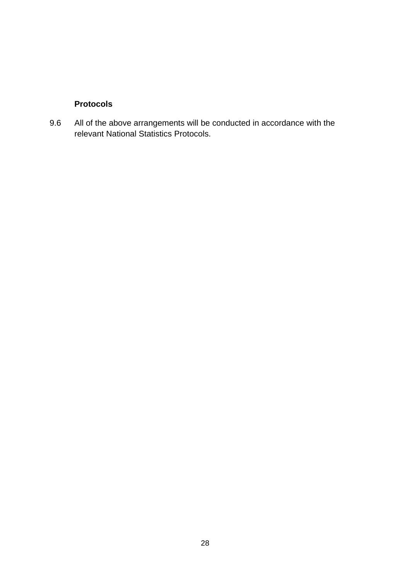## **Protocols**

<span id="page-27-0"></span>9.6 All of the above arrangements will be conducted in accordance with the relevant National Statistics Protocols.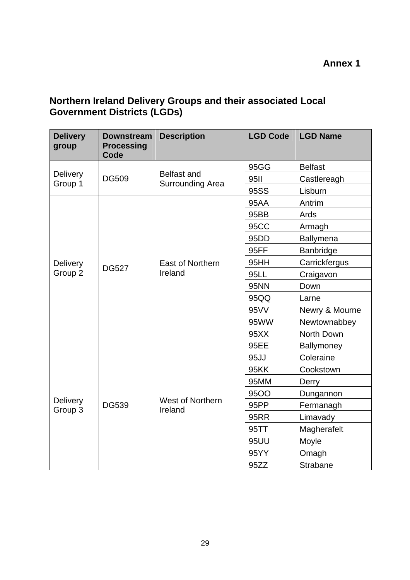## **Annex 1**

## <span id="page-28-0"></span>**Northern Ireland Delivery Groups and their associated Local Government Districts (LGDs)**

| <b>Delivery</b><br>group   | <b>Downstream</b><br><b>Processing</b><br>Code | <b>Description</b>                            | <b>LGD Code</b>  | <b>LGD Name</b>  |
|----------------------------|------------------------------------------------|-----------------------------------------------|------------------|------------------|
|                            |                                                |                                               | 95GG             | <b>Belfast</b>   |
| <b>Delivery</b><br>Group 1 | <b>DG509</b>                                   | <b>Belfast and</b><br><b>Surrounding Area</b> | <b>95II</b>      | Castlereagh      |
|                            |                                                |                                               | 95SS             | Lisburn          |
|                            |                                                |                                               | <b>95AA</b>      | Antrim           |
|                            |                                                |                                               | 95BB             | Ards             |
|                            |                                                |                                               | <b>95CC</b>      | Armagh           |
|                            |                                                |                                               | 95 <sub>DD</sub> | <b>Ballymena</b> |
|                            |                                                |                                               | 95FF             | Banbridge        |
| Delivery                   | <b>DG527</b>                                   | East of Northern                              | 95HH             | Carrickfergus    |
| Group 2                    |                                                | Ireland                                       | 95LL             | Craigavon        |
|                            |                                                |                                               | <b>95NN</b>      | Down             |
|                            |                                                |                                               | 95QQ             | Larne            |
|                            |                                                |                                               | 95VV             | Newry & Mourne   |
|                            |                                                |                                               | 95WW             | Newtownabbey     |
|                            |                                                |                                               | 95XX             | North Down       |
|                            |                                                |                                               | 95EE             | Ballymoney       |
|                            |                                                |                                               | 95JJ             | Coleraine        |
|                            |                                                |                                               | <b>95KK</b>      | Cookstown        |
|                            |                                                |                                               | 95MM             | Derry            |
|                            |                                                |                                               | <b>95OO</b>      | Dungannon        |
| Delivery<br>Group 3        | <b>DG539</b>                                   | West of Northern<br>Ireland                   | 95PP             | Fermanagh        |
|                            |                                                |                                               | <b>95RR</b>      | Limavady         |
|                            |                                                |                                               | 95TT             | Magherafelt      |
|                            |                                                |                                               | <b>95UU</b>      | Moyle            |
|                            |                                                |                                               | 95YY             | Omagh            |
|                            |                                                |                                               | 95ZZ             | Strabane         |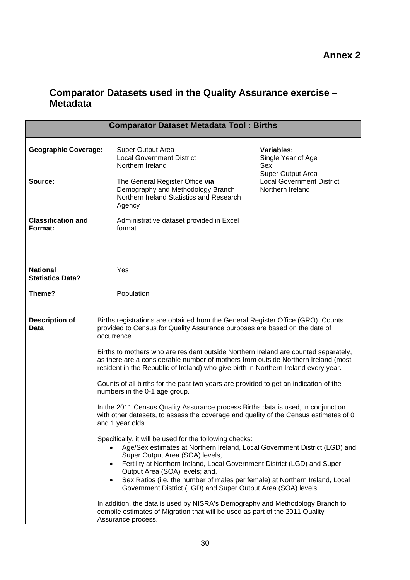## **Comparator Datasets used in the Quality Assurance exercise – Metadata**

| <b>Variables:</b><br><b>Geographic Coverage:</b><br>Super Output Area<br><b>Local Government District</b><br>Single Year of Age<br>Northern Ireland<br>Sex<br>Super Output Area<br><b>Local Government District</b><br>Source:<br>The General Register Office via<br>Demography and Methodology Branch<br>Northern Ireland<br>Northern Ireland Statistics and Research<br>Agency                                                                                                                                                                                                                                                                                                                                                                                                                                                                                                                                                                                                                                                                                                                                                                                                                                                                                                                                                                                                                                      | <b>Comparator Dataset Metadata Tool: Births</b> |  |  |  |  |
|-----------------------------------------------------------------------------------------------------------------------------------------------------------------------------------------------------------------------------------------------------------------------------------------------------------------------------------------------------------------------------------------------------------------------------------------------------------------------------------------------------------------------------------------------------------------------------------------------------------------------------------------------------------------------------------------------------------------------------------------------------------------------------------------------------------------------------------------------------------------------------------------------------------------------------------------------------------------------------------------------------------------------------------------------------------------------------------------------------------------------------------------------------------------------------------------------------------------------------------------------------------------------------------------------------------------------------------------------------------------------------------------------------------------------|-------------------------------------------------|--|--|--|--|
|                                                                                                                                                                                                                                                                                                                                                                                                                                                                                                                                                                                                                                                                                                                                                                                                                                                                                                                                                                                                                                                                                                                                                                                                                                                                                                                                                                                                                       |                                                 |  |  |  |  |
|                                                                                                                                                                                                                                                                                                                                                                                                                                                                                                                                                                                                                                                                                                                                                                                                                                                                                                                                                                                                                                                                                                                                                                                                                                                                                                                                                                                                                       |                                                 |  |  |  |  |
| <b>Classification and</b><br>Administrative dataset provided in Excel<br>Format:<br>format.                                                                                                                                                                                                                                                                                                                                                                                                                                                                                                                                                                                                                                                                                                                                                                                                                                                                                                                                                                                                                                                                                                                                                                                                                                                                                                                           |                                                 |  |  |  |  |
| <b>National</b><br>Yes<br><b>Statistics Data?</b>                                                                                                                                                                                                                                                                                                                                                                                                                                                                                                                                                                                                                                                                                                                                                                                                                                                                                                                                                                                                                                                                                                                                                                                                                                                                                                                                                                     |                                                 |  |  |  |  |
| Theme?<br>Population                                                                                                                                                                                                                                                                                                                                                                                                                                                                                                                                                                                                                                                                                                                                                                                                                                                                                                                                                                                                                                                                                                                                                                                                                                                                                                                                                                                                  |                                                 |  |  |  |  |
| <b>Description of</b><br>Births registrations are obtained from the General Register Office (GRO). Counts<br>provided to Census for Quality Assurance purposes are based on the date of<br>Data<br>occurrence.<br>Births to mothers who are resident outside Northern Ireland are counted separately,<br>as there are a considerable number of mothers from outside Northern Ireland (most<br>resident in the Republic of Ireland) who give birth in Northern Ireland every year.<br>Counts of all births for the past two years are provided to get an indication of the<br>numbers in the 0-1 age group.<br>In the 2011 Census Quality Assurance process Births data is used, in conjunction<br>with other datasets, to assess the coverage and quality of the Census estimates of 0<br>and 1 year olds.<br>Specifically, it will be used for the following checks:<br>Age/Sex estimates at Northern Ireland, Local Government District (LGD) and<br>Super Output Area (SOA) levels,<br>Fertility at Northern Ireland, Local Government District (LGD) and Super<br>Output Area (SOA) levels; and,<br>Sex Ratios (i.e. the number of males per female) at Northern Ireland, Local<br>Government District (LGD) and Super Output Area (SOA) levels.<br>In addition, the data is used by NISRA's Demography and Methodology Branch to<br>compile estimates of Migration that will be used as part of the 2011 Quality |                                                 |  |  |  |  |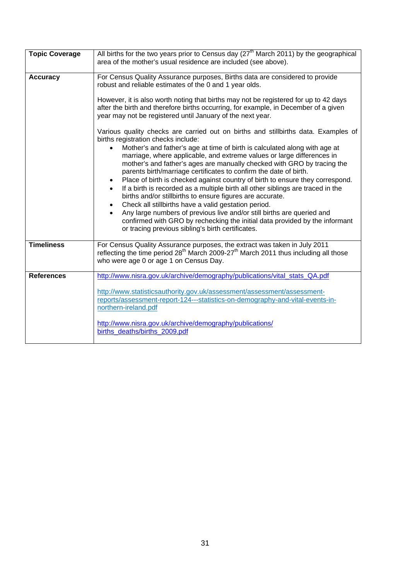| <b>Topic Coverage</b> | All births for the two years prior to Census day $(27th$ March 2011) by the geographical                                                                                                                                                                                                                                                                                                                                                                                                                                                                                                                                                                                                                                                                                                                                                                                                                                                             |  |  |  |  |
|-----------------------|------------------------------------------------------------------------------------------------------------------------------------------------------------------------------------------------------------------------------------------------------------------------------------------------------------------------------------------------------------------------------------------------------------------------------------------------------------------------------------------------------------------------------------------------------------------------------------------------------------------------------------------------------------------------------------------------------------------------------------------------------------------------------------------------------------------------------------------------------------------------------------------------------------------------------------------------------|--|--|--|--|
|                       | area of the mother's usual residence are included (see above).                                                                                                                                                                                                                                                                                                                                                                                                                                                                                                                                                                                                                                                                                                                                                                                                                                                                                       |  |  |  |  |
| <b>Accuracy</b>       | For Census Quality Assurance purposes, Births data are considered to provide<br>robust and reliable estimates of the 0 and 1 year olds.                                                                                                                                                                                                                                                                                                                                                                                                                                                                                                                                                                                                                                                                                                                                                                                                              |  |  |  |  |
|                       | However, it is also worth noting that births may not be registered for up to 42 days<br>after the birth and therefore births occurring, for example, in December of a given<br>year may not be registered until January of the next year.                                                                                                                                                                                                                                                                                                                                                                                                                                                                                                                                                                                                                                                                                                            |  |  |  |  |
|                       | Various quality checks are carried out on births and stillbirths data. Examples of<br>births registration checks include:<br>Mother's and father's age at time of birth is calculated along with age at<br>$\bullet$<br>marriage, where applicable, and extreme values or large differences in<br>mother's and father's ages are manually checked with GRO by tracing the<br>parents birth/marriage certificates to confirm the date of birth.<br>Place of birth is checked against country of birth to ensure they correspond.<br>$\bullet$<br>If a birth is recorded as a multiple birth all other siblings are traced in the<br>$\bullet$<br>births and/or stillbirths to ensure figures are accurate.<br>Check all stillbirths have a valid gestation period.<br>$\bullet$<br>Any large numbers of previous live and/or still births are queried and<br>$\bullet$<br>confirmed with GRO by rechecking the initial data provided by the informant |  |  |  |  |
|                       | or tracing previous sibling's birth certificates.                                                                                                                                                                                                                                                                                                                                                                                                                                                                                                                                                                                                                                                                                                                                                                                                                                                                                                    |  |  |  |  |
| <b>Timeliness</b>     | For Census Quality Assurance purposes, the extract was taken in July 2011<br>reflecting the time period 28 <sup>th</sup> March 2009-27 <sup>th</sup> March 2011 thus including all those<br>who were age 0 or age 1 on Census Day.                                                                                                                                                                                                                                                                                                                                                                                                                                                                                                                                                                                                                                                                                                                   |  |  |  |  |
| <b>References</b>     | http://www.nisra.gov.uk/archive/demography/publications/vital_stats_QA.pdf                                                                                                                                                                                                                                                                                                                                                                                                                                                                                                                                                                                                                                                                                                                                                                                                                                                                           |  |  |  |  |
|                       | http://www.statisticsauthority.gov.uk/assessment/assessment/assessment-<br>reports/assessment-report-124---statistics-on-demography-and-vital-events-in-<br>northern-ireland.pdf                                                                                                                                                                                                                                                                                                                                                                                                                                                                                                                                                                                                                                                                                                                                                                     |  |  |  |  |
|                       | http://www.nisra.gov.uk/archive/demography/publications/<br>births deaths/births 2009.pdf                                                                                                                                                                                                                                                                                                                                                                                                                                                                                                                                                                                                                                                                                                                                                                                                                                                            |  |  |  |  |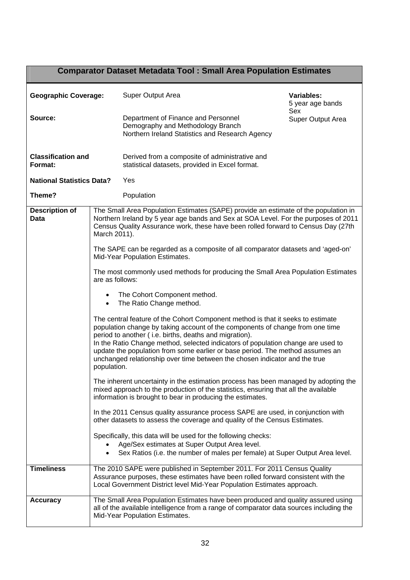|                                      |                                                                                                                                                                                                                                        | <b>Comparator Dataset Metadata Tool: Small Area Population Estimates</b>                                                                                                                                                                                                                                                                                                                                                                                                      |                                |  |
|--------------------------------------|----------------------------------------------------------------------------------------------------------------------------------------------------------------------------------------------------------------------------------------|-------------------------------------------------------------------------------------------------------------------------------------------------------------------------------------------------------------------------------------------------------------------------------------------------------------------------------------------------------------------------------------------------------------------------------------------------------------------------------|--------------------------------|--|
| <b>Geographic Coverage:</b>          |                                                                                                                                                                                                                                        | Super Output Area                                                                                                                                                                                                                                                                                                                                                                                                                                                             | Variables:<br>5 year age bands |  |
| Source:                              |                                                                                                                                                                                                                                        | Department of Finance and Personnel<br>Demography and Methodology Branch<br>Northern Ireland Statistics and Research Agency                                                                                                                                                                                                                                                                                                                                                   | Sex<br>Super Output Area       |  |
| <b>Classification and</b><br>Format: |                                                                                                                                                                                                                                        | Derived from a composite of administrative and<br>statistical datasets, provided in Excel format.                                                                                                                                                                                                                                                                                                                                                                             |                                |  |
| <b>National Statistics Data?</b>     |                                                                                                                                                                                                                                        | Yes                                                                                                                                                                                                                                                                                                                                                                                                                                                                           |                                |  |
| Theme?                               |                                                                                                                                                                                                                                        | Population                                                                                                                                                                                                                                                                                                                                                                                                                                                                    |                                |  |
| <b>Description of</b><br>Data        | March 2011).                                                                                                                                                                                                                           | The Small Area Population Estimates (SAPE) provide an estimate of the population in<br>Northern Ireland by 5 year age bands and Sex at SOA Level. For the purposes of 2011<br>Census Quality Assurance work, these have been rolled forward to Census Day (27th                                                                                                                                                                                                               |                                |  |
|                                      |                                                                                                                                                                                                                                        | The SAPE can be regarded as a composite of all comparator datasets and 'aged-on'<br>Mid-Year Population Estimates.                                                                                                                                                                                                                                                                                                                                                            |                                |  |
|                                      | are as follows:                                                                                                                                                                                                                        | The most commonly used methods for producing the Small Area Population Estimates                                                                                                                                                                                                                                                                                                                                                                                              |                                |  |
| $\bullet$<br>$\bullet$               |                                                                                                                                                                                                                                        | The Cohort Component method.<br>The Ratio Change method.                                                                                                                                                                                                                                                                                                                                                                                                                      |                                |  |
| population.                          |                                                                                                                                                                                                                                        | The central feature of the Cohort Component method is that it seeks to estimate<br>population change by taking account of the components of change from one time<br>period to another (i.e. births, deaths and migration).<br>In the Ratio Change method, selected indicators of population change are used to<br>update the population from some earlier or base period. The method assumes an<br>unchanged relationship over time between the chosen indicator and the true |                                |  |
|                                      |                                                                                                                                                                                                                                        | The inherent uncertainty in the estimation process has been managed by adopting the<br>mixed approach to the production of the statistics, ensuring that all the available<br>information is brought to bear in producing the estimates.                                                                                                                                                                                                                                      |                                |  |
|                                      |                                                                                                                                                                                                                                        | In the 2011 Census quality assurance process SAPE are used, in conjunction with<br>other datasets to assess the coverage and quality of the Census Estimates.                                                                                                                                                                                                                                                                                                                 |                                |  |
|                                      |                                                                                                                                                                                                                                        | Specifically, this data will be used for the following checks:<br>Age/Sex estimates at Super Output Area level.<br>Sex Ratios (i.e. the number of males per female) at Super Output Area level.                                                                                                                                                                                                                                                                               |                                |  |
| <b>Timeliness</b>                    | The 2010 SAPE were published in September 2011. For 2011 Census Quality<br>Assurance purposes, these estimates have been rolled forward consistent with the<br>Local Government District level Mid-Year Population Estimates approach. |                                                                                                                                                                                                                                                                                                                                                                                                                                                                               |                                |  |
| <b>Accuracy</b>                      |                                                                                                                                                                                                                                        | The Small Area Population Estimates have been produced and quality assured using<br>all of the available intelligence from a range of comparator data sources including the<br>Mid-Year Population Estimates.                                                                                                                                                                                                                                                                 |                                |  |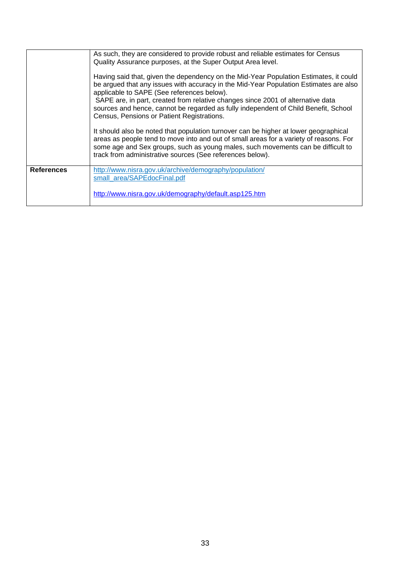| As such, they are considered to provide robust and reliable estimates for Census<br>Quality Assurance purposes, at the Super Output Area level.<br>Having said that, given the dependency on the Mid-Year Population Estimates, it could<br>be argued that any issues with accuracy in the Mid-Year Population Estimates are also<br>applicable to SAPE (See references below).<br>SAPE are, in part, created from relative changes since 2001 of alternative data<br>sources and hence, cannot be regarded as fully independent of Child Benefit, School<br>Census, Pensions or Patient Registrations.<br>It should also be noted that population turnover can be higher at lower geographical |                                                                                                                                                                                                                                         |
|-------------------------------------------------------------------------------------------------------------------------------------------------------------------------------------------------------------------------------------------------------------------------------------------------------------------------------------------------------------------------------------------------------------------------------------------------------------------------------------------------------------------------------------------------------------------------------------------------------------------------------------------------------------------------------------------------|-----------------------------------------------------------------------------------------------------------------------------------------------------------------------------------------------------------------------------------------|
|                                                                                                                                                                                                                                                                                                                                                                                                                                                                                                                                                                                                                                                                                                 | areas as people tend to move into and out of small areas for a variety of reasons. For<br>some age and Sex groups, such as young males, such movements can be difficult to<br>track from administrative sources (See references below). |
| <b>References</b>                                                                                                                                                                                                                                                                                                                                                                                                                                                                                                                                                                                                                                                                               | http://www.nisra.gov.uk/archive/demography/population/<br>small area/SAPEdocFinal.pdf                                                                                                                                                   |
|                                                                                                                                                                                                                                                                                                                                                                                                                                                                                                                                                                                                                                                                                                 | http://www.nisra.gov.uk/demography/default.asp125.htm                                                                                                                                                                                   |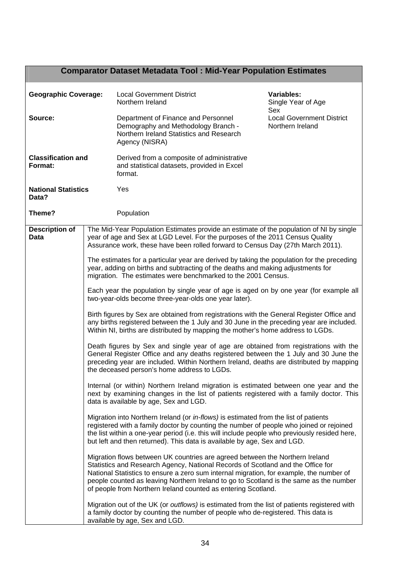# **Comparator Dataset Metadata Tool : Mid-Year Population Estimates**

| <b>Geographic Coverage:</b>          |  | <b>Local Government District</b><br>Northern Ireland                                                                                                                                                                                                                                                                                                                                                                  | Variables:<br>Single Year of Age<br>Sex              |  |
|--------------------------------------|--|-----------------------------------------------------------------------------------------------------------------------------------------------------------------------------------------------------------------------------------------------------------------------------------------------------------------------------------------------------------------------------------------------------------------------|------------------------------------------------------|--|
| Source:                              |  | Department of Finance and Personnel<br>Demography and Methodology Branch -<br>Northern Ireland Statistics and Research<br>Agency (NISRA)                                                                                                                                                                                                                                                                              | <b>Local Government District</b><br>Northern Ireland |  |
| <b>Classification and</b><br>Format: |  | Derived from a composite of administrative<br>and statistical datasets, provided in Excel<br>format.                                                                                                                                                                                                                                                                                                                  |                                                      |  |
| <b>National Statistics</b><br>Data?  |  | Yes                                                                                                                                                                                                                                                                                                                                                                                                                   |                                                      |  |
| Theme?                               |  | Population                                                                                                                                                                                                                                                                                                                                                                                                            |                                                      |  |
| <b>Description of</b><br><b>Data</b> |  | The Mid-Year Population Estimates provide an estimate of the population of NI by single<br>year of age and Sex at LGD Level. For the purposes of the 2011 Census Quality<br>Assurance work, these have been rolled forward to Census Day (27th March 2011).                                                                                                                                                           |                                                      |  |
|                                      |  | The estimates for a particular year are derived by taking the population for the preceding<br>year, adding on births and subtracting of the deaths and making adjustments for<br>migration. The estimates were benchmarked to the 2001 Census.                                                                                                                                                                        |                                                      |  |
|                                      |  | Each year the population by single year of age is aged on by one year (for example all<br>two-year-olds become three-year-olds one year later).                                                                                                                                                                                                                                                                       |                                                      |  |
|                                      |  | Birth figures by Sex are obtained from registrations with the General Register Office and<br>any births registered between the 1 July and 30 June in the preceding year are included.<br>Within NI, births are distributed by mapping the mother's home address to LGDs.                                                                                                                                              |                                                      |  |
|                                      |  | Death figures by Sex and single year of age are obtained from registrations with the<br>General Register Office and any deaths registered between the 1 July and 30 June the<br>preceding year are included. Within Northern Ireland, deaths are distributed by mapping<br>the deceased person's home address to LGDs.                                                                                                |                                                      |  |
|                                      |  | Internal (or within) Northern Ireland migration is estimated between one year and the<br>next by examining changes in the list of patients registered with a family doctor. This<br>data is available by age, Sex and LGD.                                                                                                                                                                                            |                                                      |  |
|                                      |  | Migration into Northern Ireland (or in-flows) is estimated from the list of patients<br>registered with a family doctor by counting the number of people who joined or rejoined<br>the list within a one-year period (i.e. this will include people who previously resided here,<br>but left and then returned). This data is available by age, Sex and LGD.                                                          |                                                      |  |
|                                      |  | Migration flows between UK countries are agreed between the Northern Ireland<br>Statistics and Research Agency, National Records of Scotland and the Office for<br>National Statistics to ensure a zero sum internal migration, for example, the number of<br>people counted as leaving Northern Ireland to go to Scotland is the same as the number<br>of people from Northern Ireland counted as entering Scotland. |                                                      |  |
|                                      |  | Migration out of the UK (or outflows) is estimated from the list of patients registered with<br>a family doctor by counting the number of people who de-registered. This data is<br>available by age, Sex and LGD.                                                                                                                                                                                                    |                                                      |  |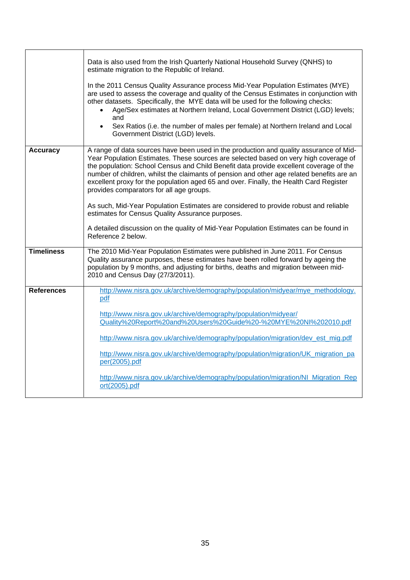|                   | Data is also used from the Irish Quarterly National Household Survey (QNHS) to<br>estimate migration to the Republic of Ireland.                                                                                                                                                                                                                                                                                                                                                                            |
|-------------------|-------------------------------------------------------------------------------------------------------------------------------------------------------------------------------------------------------------------------------------------------------------------------------------------------------------------------------------------------------------------------------------------------------------------------------------------------------------------------------------------------------------|
|                   | In the 2011 Census Quality Assurance process Mid-Year Population Estimates (MYE)<br>are used to assess the coverage and quality of the Census Estimates in conjunction with<br>other datasets. Specifically, the MYE data will be used for the following checks:<br>Age/Sex estimates at Northern Ireland, Local Government District (LGD) levels;<br>and<br>Sex Ratios (i.e. the number of males per female) at Northern Ireland and Local<br>$\bullet$<br>Government District (LGD) levels.               |
| <b>Accuracy</b>   | A range of data sources have been used in the production and quality assurance of Mid-<br>Year Population Estimates. These sources are selected based on very high coverage of<br>the population: School Census and Child Benefit data provide excellent coverage of the<br>number of children, whilst the claimants of pension and other age related benefits are an<br>excellent proxy for the population aged 65 and over. Finally, the Health Card Register<br>provides comparators for all age groups. |
|                   | As such, Mid-Year Population Estimates are considered to provide robust and reliable<br>estimates for Census Quality Assurance purposes.                                                                                                                                                                                                                                                                                                                                                                    |
|                   | A detailed discussion on the quality of Mid-Year Population Estimates can be found in<br>Reference 2 below.                                                                                                                                                                                                                                                                                                                                                                                                 |
| <b>Timeliness</b> | The 2010 Mid-Year Population Estimates were published in June 2011. For Census<br>Quality assurance purposes, these estimates have been rolled forward by ageing the<br>population by 9 months, and adjusting for births, deaths and migration between mid-<br>2010 and Census Day (27/3/2011).                                                                                                                                                                                                             |
| <b>References</b> | http://www.nisra.gov.uk/archive/demography/population/midyear/mye_methodology.<br>pdf                                                                                                                                                                                                                                                                                                                                                                                                                       |
|                   | http://www.nisra.gov.uk/archive/demography/population/midyear/<br>Quality%20Report%20and%20Users%20Guide%20-%20MYE%20NI%202010.pdf                                                                                                                                                                                                                                                                                                                                                                          |
|                   | http://www.nisra.gov.uk/archive/demography/population/migration/dev_est_mig.pdf                                                                                                                                                                                                                                                                                                                                                                                                                             |
|                   | http://www.nisra.gov.uk/archive/demography/population/migration/UK_migration_pa<br>per(2005).pdf                                                                                                                                                                                                                                                                                                                                                                                                            |
|                   | http://www.nisra.gov.uk/archive/demography/population/migration/NI_Migration_Rep<br>ort(2005).pdf                                                                                                                                                                                                                                                                                                                                                                                                           |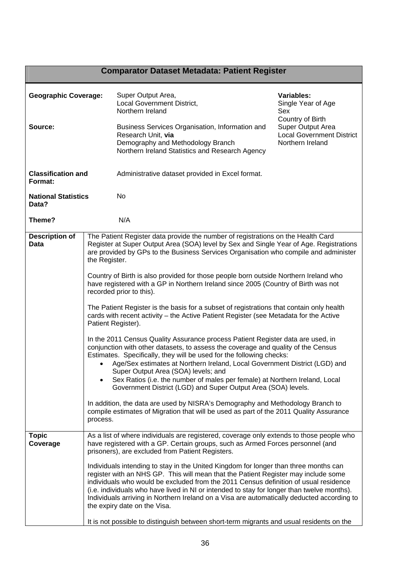# **Comparator Dataset Metadata: Patient Register**

| <b>Geographic Coverage:</b><br>Source: |                                                                                                                                                                                                                                                                                                                                                                                                                                                                                                                                                                                                                                                                                                                                                                                                                                                                                                                                                                                                                                                                                                                                                                                                                                                                                                                                                                                                                       | Super Output Area,<br><b>Local Government District,</b><br>Northern Ireland<br>Business Services Organisation, Information and<br>Research Unit, via<br>Demography and Methodology Branch<br>Northern Ireland Statistics and Research Agency                                                                                                                                                                                                                                                                                                                                                                                                                                                                                                                                                                                 | <b>Variables:</b><br>Single Year of Age<br>Sex<br>Country of Birth<br>Super Output Area<br><b>Local Government District</b><br>Northern Ireland |
|----------------------------------------|-----------------------------------------------------------------------------------------------------------------------------------------------------------------------------------------------------------------------------------------------------------------------------------------------------------------------------------------------------------------------------------------------------------------------------------------------------------------------------------------------------------------------------------------------------------------------------------------------------------------------------------------------------------------------------------------------------------------------------------------------------------------------------------------------------------------------------------------------------------------------------------------------------------------------------------------------------------------------------------------------------------------------------------------------------------------------------------------------------------------------------------------------------------------------------------------------------------------------------------------------------------------------------------------------------------------------------------------------------------------------------------------------------------------------|------------------------------------------------------------------------------------------------------------------------------------------------------------------------------------------------------------------------------------------------------------------------------------------------------------------------------------------------------------------------------------------------------------------------------------------------------------------------------------------------------------------------------------------------------------------------------------------------------------------------------------------------------------------------------------------------------------------------------------------------------------------------------------------------------------------------------|-------------------------------------------------------------------------------------------------------------------------------------------------|
| <b>Classification and</b><br>Format:   |                                                                                                                                                                                                                                                                                                                                                                                                                                                                                                                                                                                                                                                                                                                                                                                                                                                                                                                                                                                                                                                                                                                                                                                                                                                                                                                                                                                                                       | Administrative dataset provided in Excel format.                                                                                                                                                                                                                                                                                                                                                                                                                                                                                                                                                                                                                                                                                                                                                                             |                                                                                                                                                 |
| <b>National Statistics</b><br>Data?    |                                                                                                                                                                                                                                                                                                                                                                                                                                                                                                                                                                                                                                                                                                                                                                                                                                                                                                                                                                                                                                                                                                                                                                                                                                                                                                                                                                                                                       | No.                                                                                                                                                                                                                                                                                                                                                                                                                                                                                                                                                                                                                                                                                                                                                                                                                          |                                                                                                                                                 |
| Theme?                                 |                                                                                                                                                                                                                                                                                                                                                                                                                                                                                                                                                                                                                                                                                                                                                                                                                                                                                                                                                                                                                                                                                                                                                                                                                                                                                                                                                                                                                       | N/A                                                                                                                                                                                                                                                                                                                                                                                                                                                                                                                                                                                                                                                                                                                                                                                                                          |                                                                                                                                                 |
| <b>Description of</b><br>Data          | The Patient Register data provide the number of registrations on the Health Card<br>Register at Super Output Area (SOA) level by Sex and Single Year of Age. Registrations<br>are provided by GPs to the Business Services Organisation who compile and administer<br>the Register.<br>Country of Birth is also provided for those people born outside Northern Ireland who<br>have registered with a GP in Northern Ireland since 2005 (Country of Birth was not<br>recorded prior to this).<br>The Patient Register is the basis for a subset of registrations that contain only health<br>cards with recent activity - the Active Patient Register (see Metadata for the Active<br>Patient Register).<br>In the 2011 Census Quality Assurance process Patient Register data are used, in<br>conjunction with other datasets, to assess the coverage and quality of the Census<br>Estimates. Specifically, they will be used for the following checks:<br>Age/Sex estimates at Northern Ireland, Local Government District (LGD) and<br>Super Output Area (SOA) levels; and<br>Sex Ratios (i.e. the number of males per female) at Northern Ireland, Local<br>Government District (LGD) and Super Output Area (SOA) levels.<br>In addition, the data are used by NISRA's Demography and Methodology Branch to<br>compile estimates of Migration that will be used as part of the 2011 Quality Assurance<br>process. |                                                                                                                                                                                                                                                                                                                                                                                                                                                                                                                                                                                                                                                                                                                                                                                                                              |                                                                                                                                                 |
| <b>Topic</b><br>Coverage               |                                                                                                                                                                                                                                                                                                                                                                                                                                                                                                                                                                                                                                                                                                                                                                                                                                                                                                                                                                                                                                                                                                                                                                                                                                                                                                                                                                                                                       | As a list of where individuals are registered, coverage only extends to those people who<br>have registered with a GP. Certain groups, such as Armed Forces personnel (and<br>prisoners), are excluded from Patient Registers.<br>Individuals intending to stay in the United Kingdom for longer than three months can<br>register with an NHS GP. This will mean that the Patient Register may include some<br>individuals who would be excluded from the 2011 Census definition of usual residence<br>(i.e. individuals who have lived in NI or intended to stay for longer than twelve months).<br>Individuals arriving in Northern Ireland on a Visa are automatically deducted according to<br>the expiry date on the Visa.<br>It is not possible to distinguish between short-term migrants and usual residents on the |                                                                                                                                                 |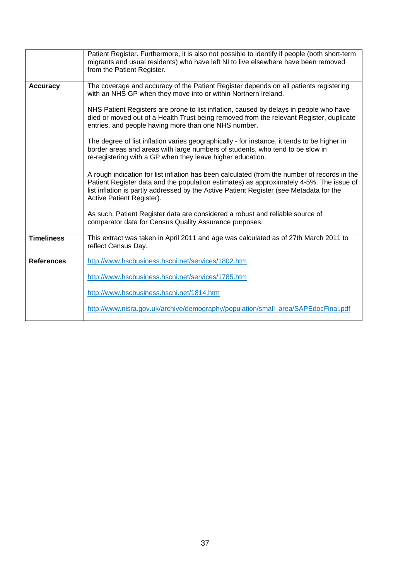|                   | Patient Register. Furthermore, it is also not possible to identify if people (both short-term<br>migrants and usual residents) who have left NI to live elsewhere have been removed<br>from the Patient Register.                                                                                               |
|-------------------|-----------------------------------------------------------------------------------------------------------------------------------------------------------------------------------------------------------------------------------------------------------------------------------------------------------------|
| <b>Accuracy</b>   | The coverage and accuracy of the Patient Register depends on all patients registering<br>with an NHS GP when they move into or within Northern Ireland.                                                                                                                                                         |
|                   | NHS Patient Registers are prone to list inflation, caused by delays in people who have<br>died or moved out of a Health Trust being removed from the relevant Register, duplicate<br>entries, and people having more than one NHS number.                                                                       |
|                   | The degree of list inflation varies geographically - for instance, it tends to be higher in<br>border areas and areas with large numbers of students, who tend to be slow in<br>re-registering with a GP when they leave higher education.                                                                      |
|                   | A rough indication for list inflation has been calculated (from the number of records in the<br>Patient Register data and the population estimates) as approximately 4-5%. The issue of<br>list inflation is partly addressed by the Active Patient Register (see Metadata for the<br>Active Patient Register). |
|                   | As such, Patient Register data are considered a robust and reliable source of<br>comparator data for Census Quality Assurance purposes.                                                                                                                                                                         |
| <b>Timeliness</b> | This extract was taken in April 2011 and age was calculated as of 27th March 2011 to<br>reflect Census Day.                                                                                                                                                                                                     |
| <b>References</b> | http://www.hscbusiness.hscni.net/services/1802.htm                                                                                                                                                                                                                                                              |
|                   | http://www.hscbusiness.hscni.net/services/1785.htm                                                                                                                                                                                                                                                              |
|                   | http://www.hscbusiness.hscni.net/1814.htm                                                                                                                                                                                                                                                                       |
|                   | http://www.nisra.gov.uk/archive/demography/population/small_area/SAPEdocFinal.pdf                                                                                                                                                                                                                               |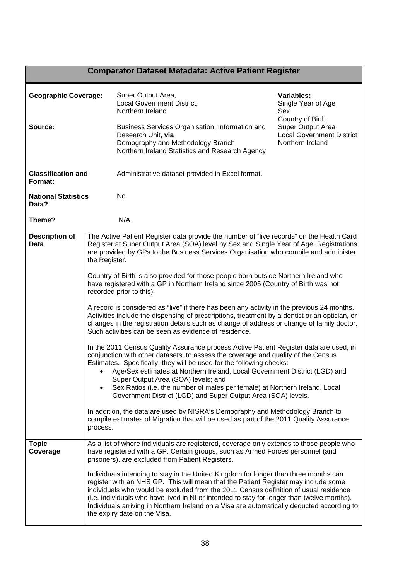# **Comparator Dataset Metadata: Active Patient Register**

| <b>Geographic Coverage:</b>          |                                                                                                                                                                                                                                                                                             | Super Output Area,<br><b>Local Government District,</b><br>Northern Ireland                                                                                                                                                                                                                                                                                                                                                                                                                    | Variables:<br>Single Year of Age<br>Sex                                                       |  |
|--------------------------------------|---------------------------------------------------------------------------------------------------------------------------------------------------------------------------------------------------------------------------------------------------------------------------------------------|------------------------------------------------------------------------------------------------------------------------------------------------------------------------------------------------------------------------------------------------------------------------------------------------------------------------------------------------------------------------------------------------------------------------------------------------------------------------------------------------|-----------------------------------------------------------------------------------------------|--|
| Source:                              |                                                                                                                                                                                                                                                                                             | Business Services Organisation, Information and<br>Research Unit, via<br>Demography and Methodology Branch<br>Northern Ireland Statistics and Research Agency                                                                                                                                                                                                                                                                                                                                  | Country of Birth<br>Super Output Area<br><b>Local Government District</b><br>Northern Ireland |  |
| <b>Classification and</b><br>Format: |                                                                                                                                                                                                                                                                                             | Administrative dataset provided in Excel format.                                                                                                                                                                                                                                                                                                                                                                                                                                               |                                                                                               |  |
| <b>National Statistics</b><br>Data?  |                                                                                                                                                                                                                                                                                             | No                                                                                                                                                                                                                                                                                                                                                                                                                                                                                             |                                                                                               |  |
| Theme?                               |                                                                                                                                                                                                                                                                                             | N/A                                                                                                                                                                                                                                                                                                                                                                                                                                                                                            |                                                                                               |  |
| <b>Description of</b><br><b>Data</b> | The Active Patient Register data provide the number of "live records" on the Health Card<br>Register at Super Output Area (SOA) level by Sex and Single Year of Age. Registrations<br>are provided by GPs to the Business Services Organisation who compile and administer<br>the Register. |                                                                                                                                                                                                                                                                                                                                                                                                                                                                                                |                                                                                               |  |
|                                      |                                                                                                                                                                                                                                                                                             | Country of Birth is also provided for those people born outside Northern Ireland who<br>have registered with a GP in Northern Ireland since 2005 (Country of Birth was not<br>recorded prior to this).                                                                                                                                                                                                                                                                                         |                                                                                               |  |
|                                      |                                                                                                                                                                                                                                                                                             | A record is considered as "live" if there has been any activity in the previous 24 months.<br>Activities include the dispensing of prescriptions, treatment by a dentist or an optician, or<br>changes in the registration details such as change of address or change of family doctor.<br>Such activities can be seen as evidence of residence.                                                                                                                                              |                                                                                               |  |
| $\bullet$                            |                                                                                                                                                                                                                                                                                             | In the 2011 Census Quality Assurance process Active Patient Register data are used, in<br>conjunction with other datasets, to assess the coverage and quality of the Census<br>Estimates. Specifically, they will be used for the following checks:<br>Age/Sex estimates at Northern Ireland, Local Government District (LGD) and<br>Super Output Area (SOA) levels; and                                                                                                                       |                                                                                               |  |
|                                      |                                                                                                                                                                                                                                                                                             | Sex Ratios (i.e. the number of males per female) at Northern Ireland, Local<br>Government District (LGD) and Super Output Area (SOA) levels.                                                                                                                                                                                                                                                                                                                                                   |                                                                                               |  |
|                                      | process.                                                                                                                                                                                                                                                                                    | In addition, the data are used by NISRA's Demography and Methodology Branch to<br>compile estimates of Migration that will be used as part of the 2011 Quality Assurance                                                                                                                                                                                                                                                                                                                       |                                                                                               |  |
| <b>Topic</b><br>Coverage             | As a list of where individuals are registered, coverage only extends to those people who<br>have registered with a GP. Certain groups, such as Armed Forces personnel (and<br>prisoners), are excluded from Patient Registers.                                                              |                                                                                                                                                                                                                                                                                                                                                                                                                                                                                                |                                                                                               |  |
|                                      |                                                                                                                                                                                                                                                                                             | Individuals intending to stay in the United Kingdom for longer than three months can<br>register with an NHS GP. This will mean that the Patient Register may include some<br>individuals who would be excluded from the 2011 Census definition of usual residence<br>(i.e. individuals who have lived in NI or intended to stay for longer than twelve months).<br>Individuals arriving in Northern Ireland on a Visa are automatically deducted according to<br>the expiry date on the Visa. |                                                                                               |  |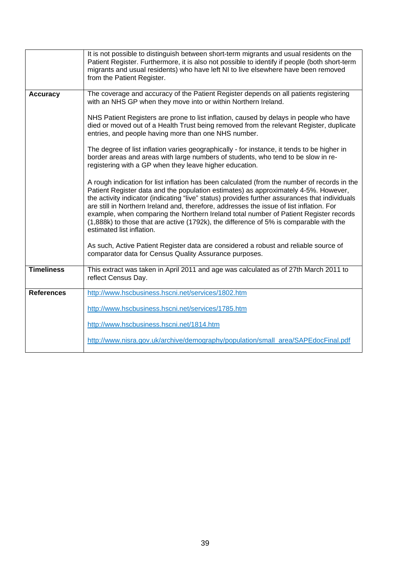|                   | It is not possible to distinguish between short-term migrants and usual residents on the<br>Patient Register. Furthermore, it is also not possible to identify if people (both short-term<br>migrants and usual residents) who have left NI to live elsewhere have been removed<br>from the Patient Register.                                                                                                                                                                                                                                                                                     |
|-------------------|---------------------------------------------------------------------------------------------------------------------------------------------------------------------------------------------------------------------------------------------------------------------------------------------------------------------------------------------------------------------------------------------------------------------------------------------------------------------------------------------------------------------------------------------------------------------------------------------------|
| <b>Accuracy</b>   | The coverage and accuracy of the Patient Register depends on all patients registering<br>with an NHS GP when they move into or within Northern Ireland.                                                                                                                                                                                                                                                                                                                                                                                                                                           |
|                   | NHS Patient Registers are prone to list inflation, caused by delays in people who have<br>died or moved out of a Health Trust being removed from the relevant Register, duplicate<br>entries, and people having more than one NHS number.                                                                                                                                                                                                                                                                                                                                                         |
|                   | The degree of list inflation varies geographically - for instance, it tends to be higher in<br>border areas and areas with large numbers of students, who tend to be slow in re-<br>registering with a GP when they leave higher education.                                                                                                                                                                                                                                                                                                                                                       |
|                   | A rough indication for list inflation has been calculated (from the number of records in the<br>Patient Register data and the population estimates) as approximately 4-5%. However,<br>the activity indicator (indicating "live" status) provides further assurances that individuals<br>are still in Northern Ireland and, therefore, addresses the issue of list inflation. For<br>example, when comparing the Northern Ireland total number of Patient Register records<br>(1,888k) to those that are active (1792k), the difference of 5% is comparable with the<br>estimated list inflation. |
|                   | As such, Active Patient Register data are considered a robust and reliable source of<br>comparator data for Census Quality Assurance purposes.                                                                                                                                                                                                                                                                                                                                                                                                                                                    |
| <b>Timeliness</b> | This extract was taken in April 2011 and age was calculated as of 27th March 2011 to<br>reflect Census Day.                                                                                                                                                                                                                                                                                                                                                                                                                                                                                       |
| <b>References</b> | http://www.hscbusiness.hscni.net/services/1802.htm                                                                                                                                                                                                                                                                                                                                                                                                                                                                                                                                                |
|                   | http://www.hscbusiness.hscni.net/services/1785.htm                                                                                                                                                                                                                                                                                                                                                                                                                                                                                                                                                |
|                   | http://www.hscbusiness.hscni.net/1814.htm                                                                                                                                                                                                                                                                                                                                                                                                                                                                                                                                                         |
|                   | http://www.nisra.gov.uk/archive/demography/population/small_area/SAPEdocFinal.pdf                                                                                                                                                                                                                                                                                                                                                                                                                                                                                                                 |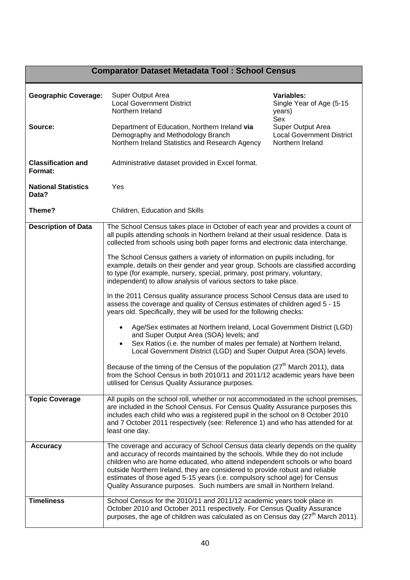#### **Comparator Dataset Metadata Tool : School Census Geographic Coverage:** Super Output Area Local Government District Northern Ireland **Source:** Department of Education, Northern Ireland **via** Demography and Methodology Branch Northern Ireland Statistics and Research Agency **Classification and Format:**  Administrative dataset provided in Excel format. **National Statistics Data? Theme?**  Yes Children, Education and Skills **Variables:** Single Year of Age (5-15 years) Sex Super Output Area Local Government District Northern Ireland **Description of Data** | The School Census takes place in October of each year and provides a count of all pupils attending schools in Northern Ireland at their usual residence. Data is collected from schools using both paper forms and electronic data interchange. The School Census gathers a variety of information on pupils including, for example, details on their gender and year group. Schools are classified according to type (for example, nursery, special, primary, post primary, voluntary, independent) to allow analysis of various sectors to take place. In the 2011 Census quality assurance process School Census data are used to assess the coverage and quality of Census estimates of children aged 5 - 15 years old. Specifically, they will be used for the following checks: Age/Sex estimates at Northern Ireland, Local Government District (LGD) and Super Output Area (SOA) levels; and Sex Ratios (i.e. the number of males per female) at Northern Ireland, Local Government District (LGD) and Super Output Area (SOA) levels. Because of the timing of the Census of the population (27<sup>th</sup> March 2011), data from the School Census in both 2010/11 and 2011/12 academic years have been utilised for Census Quality Assurance purposes. **Topic Coverage** All pupils on the school roll, whether or not accommodated in the school premises, are included in the School Census. For Census Quality Assurance purposes this includes each child who was a registered pupil in the school on 8 October 2010 and 7 October 2011 respectively (see: Reference 1) and who has attended for at least one day. **Accuracy** The coverage and accuracy of School Census data clearly depends on the quality and accuracy of records maintained by the schools. While they do not include children who are home educated, who attend independent schools or who board outside Northern Ireland, they are considered to provide robust and reliable estimates of those aged 5-15 years (i.e. compulsory school age) for Census Quality Assurance purposes. Such numbers are small in Northern Ireland. **Timeliness** School Census for the 2010/11 and 2011/12 academic years took place in October 2010 and October 2011 respectively. For Census Quality Assurance purposes, the age of children was calculated as on Census day  $(27<sup>th</sup>$  March 2011).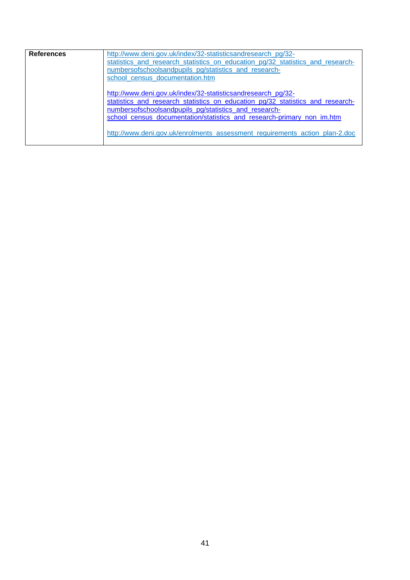| <b>References</b> | http://www.deni.gov.uk/index/32-statisticsandresearch_pg/32-<br>statistics and research statistics on education pg/32 statistics and research-<br>numbersofschoolsandpupils pg/statistics and research-<br>school census documentation.htm                                                                                                                       |
|-------------------|------------------------------------------------------------------------------------------------------------------------------------------------------------------------------------------------------------------------------------------------------------------------------------------------------------------------------------------------------------------|
|                   | http://www.deni.gov.uk/index/32-statisticsandresearch_pg/32-<br>statistics_and_research_statistics_on_education_pg/32_statistics_and_research-<br>numbersofschoolsandpupils_pg/statistics_and_research-<br>school_census_documentation/statistics_and_research-primary_non_im.htm<br>http://www.deni.gov.uk/enrolments assessment requirements action plan-2.doc |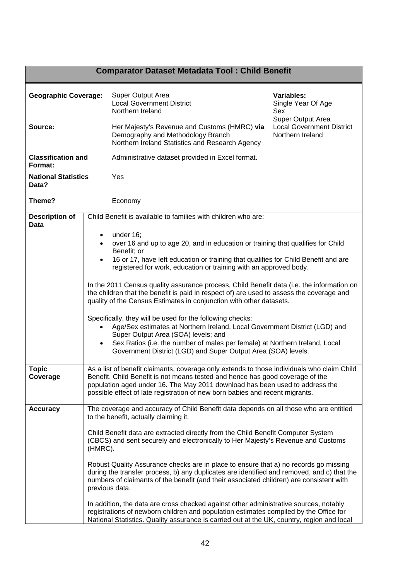# **Comparator Dataset Metadata Tool : Child Benefit**

| <b>Geographic Coverage:</b>          |                                                                                                                                                                             | Super Output Area<br><b>Local Government District</b><br>Northern Ireland                                                                                                             | <b>Variables:</b><br>Single Year Of Age<br>Sex                            |  |
|--------------------------------------|-----------------------------------------------------------------------------------------------------------------------------------------------------------------------------|---------------------------------------------------------------------------------------------------------------------------------------------------------------------------------------|---------------------------------------------------------------------------|--|
| Source:                              |                                                                                                                                                                             | Her Majesty's Revenue and Customs (HMRC) via<br>Demography and Methodology Branch<br>Northern Ireland Statistics and Research Agency                                                  | Super Output Area<br><b>Local Government District</b><br>Northern Ireland |  |
| <b>Classification and</b><br>Format: |                                                                                                                                                                             | Administrative dataset provided in Excel format.                                                                                                                                      |                                                                           |  |
| <b>National Statistics</b><br>Data?  |                                                                                                                                                                             | Yes                                                                                                                                                                                   |                                                                           |  |
| Theme?                               |                                                                                                                                                                             | Economy                                                                                                                                                                               |                                                                           |  |
| <b>Description of</b><br>Data        |                                                                                                                                                                             | Child Benefit is available to families with children who are:                                                                                                                         |                                                                           |  |
|                                      | $\bullet$                                                                                                                                                                   | under $16$ ;                                                                                                                                                                          |                                                                           |  |
|                                      | $\bullet$                                                                                                                                                                   | over 16 and up to age 20, and in education or training that qualifies for Child                                                                                                       |                                                                           |  |
|                                      | $\bullet$                                                                                                                                                                   | Benefit; or<br>16 or 17, have left education or training that qualifies for Child Benefit and are                                                                                     |                                                                           |  |
|                                      |                                                                                                                                                                             | registered for work, education or training with an approved body.                                                                                                                     |                                                                           |  |
|                                      |                                                                                                                                                                             |                                                                                                                                                                                       |                                                                           |  |
|                                      |                                                                                                                                                                             | In the 2011 Census quality assurance process, Child Benefit data (i.e. the information on                                                                                             |                                                                           |  |
|                                      |                                                                                                                                                                             | the children that the benefit is paid in respect of) are used to assess the coverage and<br>quality of the Census Estimates in conjunction with other datasets.                       |                                                                           |  |
|                                      |                                                                                                                                                                             |                                                                                                                                                                                       |                                                                           |  |
|                                      |                                                                                                                                                                             | Specifically, they will be used for the following checks:                                                                                                                             |                                                                           |  |
| $\bullet$                            |                                                                                                                                                                             | Age/Sex estimates at Northern Ireland, Local Government District (LGD) and<br>Super Output Area (SOA) levels; and                                                                     |                                                                           |  |
|                                      | $\bullet$                                                                                                                                                                   | Sex Ratios (i.e. the number of males per female) at Northern Ireland, Local                                                                                                           |                                                                           |  |
|                                      |                                                                                                                                                                             | Government District (LGD) and Super Output Area (SOA) levels.                                                                                                                         |                                                                           |  |
| <b>Topic</b>                         |                                                                                                                                                                             |                                                                                                                                                                                       |                                                                           |  |
| Coverage                             | As a list of benefit claimants, coverage only extends to those individuals who claim Child<br>Benefit. Child Benefit is not means tested and hence has good coverage of the |                                                                                                                                                                                       |                                                                           |  |
|                                      |                                                                                                                                                                             | population aged under 16. The May 2011 download has been used to address the                                                                                                          |                                                                           |  |
|                                      |                                                                                                                                                                             | possible effect of late registration of new born babies and recent migrants.                                                                                                          |                                                                           |  |
| <b>Accuracy</b>                      |                                                                                                                                                                             | The coverage and accuracy of Child Benefit data depends on all those who are entitled<br>to the benefit, actually claiming it.                                                        |                                                                           |  |
|                                      |                                                                                                                                                                             | Child Benefit data are extracted directly from the Child Benefit Computer System<br>(CBCS) and sent securely and electronically to Her Majesty's Revenue and Customs                  |                                                                           |  |
|                                      | (HMRC).                                                                                                                                                                     |                                                                                                                                                                                       |                                                                           |  |
|                                      |                                                                                                                                                                             | Robust Quality Assurance checks are in place to ensure that a) no records go missing                                                                                                  |                                                                           |  |
|                                      |                                                                                                                                                                             | during the transfer process, b) any duplicates are identified and removed, and c) that the<br>numbers of claimants of the benefit (and their associated children) are consistent with |                                                                           |  |
|                                      |                                                                                                                                                                             | previous data.                                                                                                                                                                        |                                                                           |  |
|                                      |                                                                                                                                                                             | In addition, the data are cross checked against other administrative sources, notably                                                                                                 |                                                                           |  |
|                                      |                                                                                                                                                                             | registrations of newborn children and population estimates compiled by the Office for<br>National Statistics. Quality assurance is carried out at the UK, country, region and local   |                                                                           |  |
|                                      |                                                                                                                                                                             |                                                                                                                                                                                       |                                                                           |  |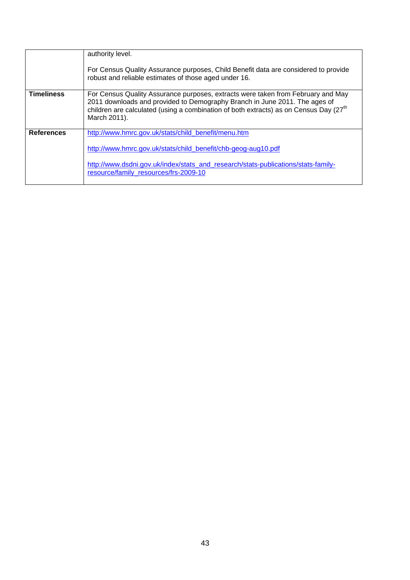|                   | authority level.<br>For Census Quality Assurance purposes, Child Benefit data are considered to provide<br>robust and reliable estimates of those aged under 16.                                                                                                                    |
|-------------------|-------------------------------------------------------------------------------------------------------------------------------------------------------------------------------------------------------------------------------------------------------------------------------------|
| <b>Timeliness</b> | For Census Quality Assurance purposes, extracts were taken from February and May<br>2011 downloads and provided to Demography Branch in June 2011. The ages of<br>children are calculated (using a combination of both extracts) as on Census Day (27 <sup>th</sup><br>March 2011). |
| <b>References</b> | http://www.hmrc.gov.uk/stats/child_benefit/menu.htm<br>http://www.hmrc.gov.uk/stats/child_benefit/chb-geog-aug10.pdf<br>http://www.dsdni.gov.uk/index/stats_and_research/stats-publications/stats-family-<br>resource/family resources/frs-2009-10                                  |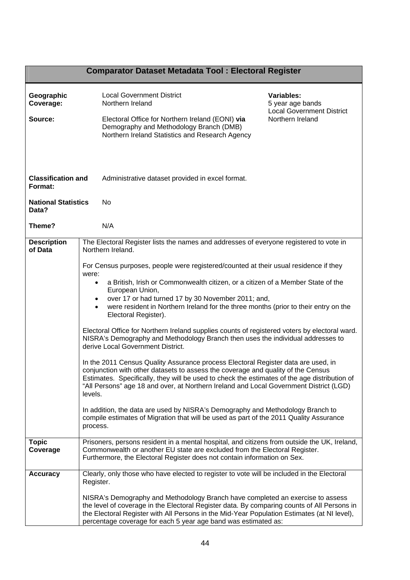|                                      | <b>Comparator Dataset Metadata Tool: Electoral Register</b>                                                                                                                                                                                                                                                                                                                                                                                                                                                                                                                                                                                                                                                                                                                                                                                                                                                                                                                                                                                                                                                                                                                                                                                                                            |  |  |
|--------------------------------------|----------------------------------------------------------------------------------------------------------------------------------------------------------------------------------------------------------------------------------------------------------------------------------------------------------------------------------------------------------------------------------------------------------------------------------------------------------------------------------------------------------------------------------------------------------------------------------------------------------------------------------------------------------------------------------------------------------------------------------------------------------------------------------------------------------------------------------------------------------------------------------------------------------------------------------------------------------------------------------------------------------------------------------------------------------------------------------------------------------------------------------------------------------------------------------------------------------------------------------------------------------------------------------------|--|--|
| Geographic<br>Coverage:<br>Source:   | <b>Variables:</b><br><b>Local Government District</b><br>Northern Ireland<br>5 year age bands<br><b>Local Government District</b><br>Northern Ireland<br>Electoral Office for Northern Ireland (EONI) via<br>Demography and Methodology Branch (DMB)<br>Northern Ireland Statistics and Research Agency                                                                                                                                                                                                                                                                                                                                                                                                                                                                                                                                                                                                                                                                                                                                                                                                                                                                                                                                                                                |  |  |
| <b>Classification and</b><br>Format: | Administrative dataset provided in excel format.                                                                                                                                                                                                                                                                                                                                                                                                                                                                                                                                                                                                                                                                                                                                                                                                                                                                                                                                                                                                                                                                                                                                                                                                                                       |  |  |
| <b>National Statistics</b><br>Data?  | No                                                                                                                                                                                                                                                                                                                                                                                                                                                                                                                                                                                                                                                                                                                                                                                                                                                                                                                                                                                                                                                                                                                                                                                                                                                                                     |  |  |
| Theme?                               | N/A                                                                                                                                                                                                                                                                                                                                                                                                                                                                                                                                                                                                                                                                                                                                                                                                                                                                                                                                                                                                                                                                                                                                                                                                                                                                                    |  |  |
| <b>Description</b><br>of Data        | The Electoral Register lists the names and addresses of everyone registered to vote in<br>Northern Ireland.<br>For Census purposes, people were registered/counted at their usual residence if they<br>were:<br>a British, Irish or Commonwealth citizen, or a citizen of a Member State of the<br>European Union,<br>over 17 or had turned 17 by 30 November 2011; and,<br>were resident in Northern Ireland for the three months (prior to their entry on the<br>Electoral Register).<br>Electoral Office for Northern Ireland supplies counts of registered voters by electoral ward.<br>NISRA's Demography and Methodology Branch then uses the individual addresses to<br>derive Local Government District.<br>In the 2011 Census Quality Assurance process Electoral Register data are used, in<br>conjunction with other datasets to assess the coverage and quality of the Census<br>Estimates. Specifically, they will be used to check the estimates of the age distribution of<br>"All Persons" age 18 and over, at Northern Ireland and Local Government District (LGD)<br>levels.<br>In addition, the data are used by NISRA's Demography and Methodology Branch to<br>compile estimates of Migration that will be used as part of the 2011 Quality Assurance<br>process. |  |  |
| <b>Topic</b><br>Coverage             | Prisoners, persons resident in a mental hospital, and citizens from outside the UK, Ireland,<br>Commonwealth or another EU state are excluded from the Electoral Register.<br>Furthermore, the Electoral Register does not contain information on Sex.                                                                                                                                                                                                                                                                                                                                                                                                                                                                                                                                                                                                                                                                                                                                                                                                                                                                                                                                                                                                                                 |  |  |
| <b>Accuracy</b>                      | Clearly, only those who have elected to register to vote will be included in the Electoral<br>Register.<br>NISRA's Demography and Methodology Branch have completed an exercise to assess<br>the level of coverage in the Electoral Register data. By comparing counts of All Persons in<br>the Electoral Register with All Persons in the Mid-Year Population Estimates (at NI level),<br>percentage coverage for each 5 year age band was estimated as:                                                                                                                                                                                                                                                                                                                                                                                                                                                                                                                                                                                                                                                                                                                                                                                                                              |  |  |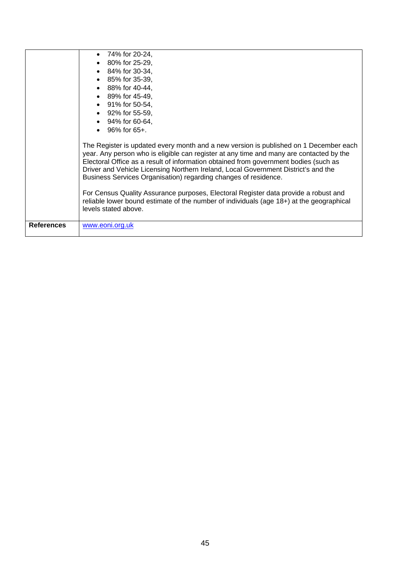|                   | 74% for 20-24,                                                                                                                                                                                                                                                                                                                                                                                                                    |
|-------------------|-----------------------------------------------------------------------------------------------------------------------------------------------------------------------------------------------------------------------------------------------------------------------------------------------------------------------------------------------------------------------------------------------------------------------------------|
|                   | 80% for 25-29,<br>$\bullet$                                                                                                                                                                                                                                                                                                                                                                                                       |
|                   | 84% for 30-34,<br>$\bullet$                                                                                                                                                                                                                                                                                                                                                                                                       |
|                   | 85% for 35-39,<br>$\bullet$                                                                                                                                                                                                                                                                                                                                                                                                       |
|                   | $\bullet$ 88% for 40-44.                                                                                                                                                                                                                                                                                                                                                                                                          |
|                   | • 89% for 45-49,                                                                                                                                                                                                                                                                                                                                                                                                                  |
|                   | • 91% for 50-54,                                                                                                                                                                                                                                                                                                                                                                                                                  |
|                   | $\bullet$ 92% for 55-59.                                                                                                                                                                                                                                                                                                                                                                                                          |
|                   | 94% for 60-64,                                                                                                                                                                                                                                                                                                                                                                                                                    |
|                   | 96% for 65+.<br>$\bullet$                                                                                                                                                                                                                                                                                                                                                                                                         |
|                   | The Register is updated every month and a new version is published on 1 December each<br>year. Any person who is eligible can register at any time and many are contacted by the<br>Electoral Office as a result of information obtained from government bodies (such as<br>Driver and Vehicle Licensing Northern Ireland, Local Government District's and the<br>Business Services Organisation) regarding changes of residence. |
|                   | For Census Quality Assurance purposes, Electoral Register data provide a robust and<br>reliable lower bound estimate of the number of individuals (age 18+) at the geographical<br>levels stated above.                                                                                                                                                                                                                           |
| <b>References</b> | www.eoni.org.uk                                                                                                                                                                                                                                                                                                                                                                                                                   |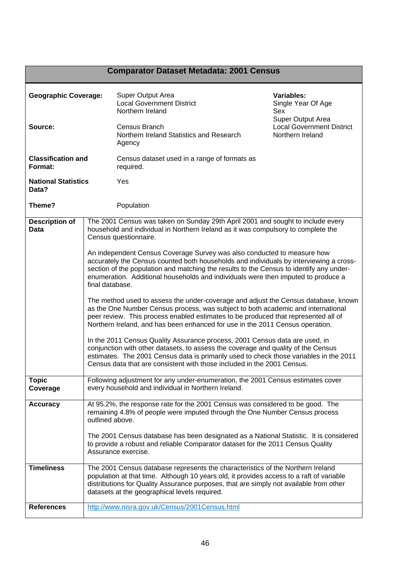# **Comparator Dataset Metadata: 2001 Census**

| <b>Geographic Coverage:</b>          |                 | Super Output Area<br><b>Local Government District</b><br>Northern Ireland                                                                                                                                                                                                                                                                         | Variables:<br>Single Year Of Age<br>Sex                                   |  |
|--------------------------------------|-----------------|---------------------------------------------------------------------------------------------------------------------------------------------------------------------------------------------------------------------------------------------------------------------------------------------------------------------------------------------------|---------------------------------------------------------------------------|--|
| Source:                              |                 | Census Branch<br>Northern Ireland Statistics and Research<br>Agency                                                                                                                                                                                                                                                                               | Super Output Area<br><b>Local Government District</b><br>Northern Ireland |  |
| <b>Classification and</b><br>Format: |                 | Census dataset used in a range of formats as<br>required.                                                                                                                                                                                                                                                                                         |                                                                           |  |
| <b>National Statistics</b><br>Data?  |                 | Yes                                                                                                                                                                                                                                                                                                                                               |                                                                           |  |
| Theme?                               |                 | Population                                                                                                                                                                                                                                                                                                                                        |                                                                           |  |
| <b>Description of</b><br>Data        |                 | The 2001 Census was taken on Sunday 29th April 2001 and sought to include every<br>household and individual in Northern Ireland as it was compulsory to complete the<br>Census questionnaire.                                                                                                                                                     |                                                                           |  |
|                                      | final database. | An independent Census Coverage Survey was also conducted to measure how<br>accurately the Census counted both households and individuals by interviewing a cross-<br>section of the population and matching the results to the Census to identify any under-<br>enumeration. Additional households and individuals were then imputed to produce a |                                                                           |  |
|                                      |                 | The method used to assess the under-coverage and adjust the Census database, known<br>as the One Number Census process, was subject to both academic and international<br>peer review. This process enabled estimates to be produced that represented all of<br>Northern Ireland, and has been enhanced for use in the 2011 Census operation.     |                                                                           |  |
|                                      |                 | In the 2011 Census Quality Assurance process, 2001 Census data are used, in<br>conjunction with other datasets, to assess the coverage and quality of the Census<br>estimates. The 2001 Census data is primarily used to check those variables in the 2011<br>Census data that are consistent with those included in the 2001 Census.             |                                                                           |  |
| <b>Topic</b><br>Coverage             |                 | Following adjustment for any under-enumeration, the 2001 Census estimates cover<br>every household and individual in Northern Ireland.                                                                                                                                                                                                            |                                                                           |  |
| <b>Accuracy</b>                      | outlined above. | At 95.2%, the response rate for the 2001 Census was considered to be good. The<br>remaining 4.8% of people were imputed through the One Number Census process                                                                                                                                                                                     |                                                                           |  |
|                                      |                 | The 2001 Census database has been designated as a National Statistic. It is considered<br>to provide a robust and reliable Comparator dataset for the 2011 Census Quality<br>Assurance exercise.                                                                                                                                                  |                                                                           |  |
| <b>Timeliness</b>                    |                 | The 2001 Census database represents the characteristics of the Northern Ireland<br>population at that time. Although 10 years old, it provides access to a raft of variable<br>distributions for Quality Assurance purposes, that are simply not available from other<br>datasets at the geographical levels required.                            |                                                                           |  |
| <b>References</b>                    |                 | http://www.nisra.gov.uk/Census/2001Census.html                                                                                                                                                                                                                                                                                                    |                                                                           |  |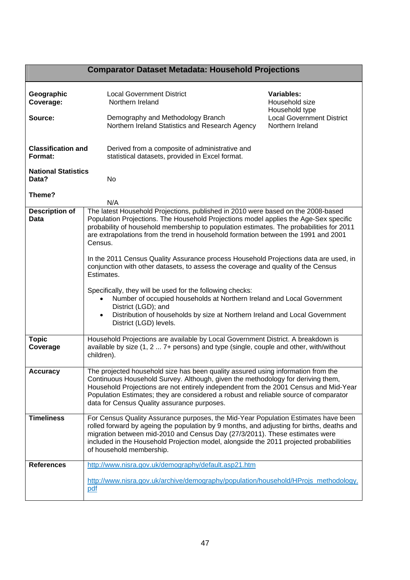# **Comparator Dataset Metadata: Household Projections**

| Geographic<br>Coverage:<br>Source:   | <b>Local Government District</b><br>Northern Ireland<br>Demography and Methodology Branch<br>Northern Ireland Statistics and Research Agency                                                                                                                                                                                                                                                                                                                                                                                                                                                                                                                                                                                                                                                                                                        | Variables:<br>Household size<br>Household type<br><b>Local Government District</b><br>Northern Ireland |  |  |
|--------------------------------------|-----------------------------------------------------------------------------------------------------------------------------------------------------------------------------------------------------------------------------------------------------------------------------------------------------------------------------------------------------------------------------------------------------------------------------------------------------------------------------------------------------------------------------------------------------------------------------------------------------------------------------------------------------------------------------------------------------------------------------------------------------------------------------------------------------------------------------------------------------|--------------------------------------------------------------------------------------------------------|--|--|
| <b>Classification and</b><br>Format: | Derived from a composite of administrative and<br>statistical datasets, provided in Excel format.                                                                                                                                                                                                                                                                                                                                                                                                                                                                                                                                                                                                                                                                                                                                                   |                                                                                                        |  |  |
| <b>National Statistics</b><br>Data?  | No                                                                                                                                                                                                                                                                                                                                                                                                                                                                                                                                                                                                                                                                                                                                                                                                                                                  |                                                                                                        |  |  |
| Theme?                               | N/A                                                                                                                                                                                                                                                                                                                                                                                                                                                                                                                                                                                                                                                                                                                                                                                                                                                 |                                                                                                        |  |  |
| <b>Description of</b><br>Data        | The latest Household Projections, published in 2010 were based on the 2008-based<br>Population Projections. The Household Projections model applies the Age-Sex specific<br>probability of household membership to population estimates. The probabilities for 2011<br>are extrapolations from the trend in household formation between the 1991 and 2001<br>Census.<br>In the 2011 Census Quality Assurance process Household Projections data are used, in<br>conjunction with other datasets, to assess the coverage and quality of the Census<br>Estimates.<br>Specifically, they will be used for the following checks:<br>Number of occupied households at Northern Ireland and Local Government<br>District (LGD); and<br>Distribution of households by size at Northern Ireland and Local Government<br>$\bullet$<br>District (LGD) levels. |                                                                                                        |  |  |
| <b>Topic</b><br>Coverage             | Household Projections are available by Local Government District. A breakdown is<br>available by size (1, 2  7+ persons) and type (single, couple and other, with/without<br>children).                                                                                                                                                                                                                                                                                                                                                                                                                                                                                                                                                                                                                                                             |                                                                                                        |  |  |
| <b>Accuracy</b>                      | The projected household size has been quality assured using information from the<br>Continuous Household Survey. Although, given the methodology for deriving them,<br>Household Projections are not entirely independent from the 2001 Census and Mid-Year<br>Population Estimates; they are considered a robust and reliable source of comparator<br>data for Census Quality assurance purposes.                                                                                                                                                                                                                                                                                                                                                                                                                                                  |                                                                                                        |  |  |
| <b>Timeliness</b>                    | For Census Quality Assurance purposes, the Mid-Year Population Estimates have been<br>rolled forward by ageing the population by 9 months, and adjusting for births, deaths and<br>migration between mid-2010 and Census Day (27/3/2011). These estimates were<br>included in the Household Projection model, alongside the 2011 projected probabilities<br>of household membership.                                                                                                                                                                                                                                                                                                                                                                                                                                                                |                                                                                                        |  |  |
| <b>References</b>                    | http://www.nisra.gov.uk/demography/default.asp21.htm                                                                                                                                                                                                                                                                                                                                                                                                                                                                                                                                                                                                                                                                                                                                                                                                |                                                                                                        |  |  |
|                                      | http://www.nisra.gov.uk/archive/demography/population/household/HProjs_methodology.<br>pdf                                                                                                                                                                                                                                                                                                                                                                                                                                                                                                                                                                                                                                                                                                                                                          |                                                                                                        |  |  |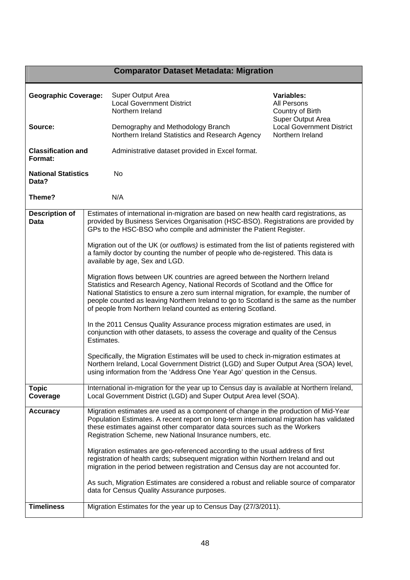# **Comparator Dataset Metadata: Migration**

| <b>Geographic Coverage:</b><br>Source: |                                                                                                                                                                                                                                                                                                                                                                                                                                                                            | Super Output Area<br><b>Local Government District</b><br>Northern Ireland                                                                                                                                                                                                                                                                                                                                             | Variables:<br><b>All Persons</b><br>Country of Birth                      |  |
|----------------------------------------|----------------------------------------------------------------------------------------------------------------------------------------------------------------------------------------------------------------------------------------------------------------------------------------------------------------------------------------------------------------------------------------------------------------------------------------------------------------------------|-----------------------------------------------------------------------------------------------------------------------------------------------------------------------------------------------------------------------------------------------------------------------------------------------------------------------------------------------------------------------------------------------------------------------|---------------------------------------------------------------------------|--|
|                                        |                                                                                                                                                                                                                                                                                                                                                                                                                                                                            | Demography and Methodology Branch<br>Northern Ireland Statistics and Research Agency                                                                                                                                                                                                                                                                                                                                  | Super Output Area<br><b>Local Government District</b><br>Northern Ireland |  |
| <b>Classification and</b><br>Format:   |                                                                                                                                                                                                                                                                                                                                                                                                                                                                            | Administrative dataset provided in Excel format.                                                                                                                                                                                                                                                                                                                                                                      |                                                                           |  |
| <b>National Statistics</b><br>Data?    |                                                                                                                                                                                                                                                                                                                                                                                                                                                                            | No                                                                                                                                                                                                                                                                                                                                                                                                                    |                                                                           |  |
| Theme?                                 |                                                                                                                                                                                                                                                                                                                                                                                                                                                                            | N/A                                                                                                                                                                                                                                                                                                                                                                                                                   |                                                                           |  |
| <b>Description of</b><br>Data          | Estimates of international in-migration are based on new health card registrations, as<br>provided by Business Services Organisation (HSC-BSO). Registrations are provided by<br>GPs to the HSC-BSO who compile and administer the Patient Register.<br>Migration out of the UK (or outflows) is estimated from the list of patients registered with<br>a family doctor by counting the number of people who de-registered. This data is<br>available by age, Sex and LGD. |                                                                                                                                                                                                                                                                                                                                                                                                                       |                                                                           |  |
|                                        |                                                                                                                                                                                                                                                                                                                                                                                                                                                                            |                                                                                                                                                                                                                                                                                                                                                                                                                       |                                                                           |  |
|                                        |                                                                                                                                                                                                                                                                                                                                                                                                                                                                            | Migration flows between UK countries are agreed between the Northern Ireland<br>Statistics and Research Agency, National Records of Scotland and the Office for<br>National Statistics to ensure a zero sum internal migration, for example, the number of<br>people counted as leaving Northern Ireland to go to Scotland is the same as the number<br>of people from Northern Ireland counted as entering Scotland. |                                                                           |  |
|                                        | Estimates.                                                                                                                                                                                                                                                                                                                                                                                                                                                                 | In the 2011 Census Quality Assurance process migration estimates are used, in<br>conjunction with other datasets, to assess the coverage and quality of the Census                                                                                                                                                                                                                                                    |                                                                           |  |
|                                        | Specifically, the Migration Estimates will be used to check in-migration estimates at<br>Northern Ireland, Local Government District (LGD) and Super Output Area (SOA) level,<br>using information from the 'Address One Year Ago' question in the Census.                                                                                                                                                                                                                 |                                                                                                                                                                                                                                                                                                                                                                                                                       |                                                                           |  |
| <b>Topic</b><br>Coverage               | International in-migration for the year up to Census day is available at Northern Ireland,<br>Local Government District (LGD) and Super Output Area level (SOA).                                                                                                                                                                                                                                                                                                           |                                                                                                                                                                                                                                                                                                                                                                                                                       |                                                                           |  |
| <b>Accuracy</b>                        |                                                                                                                                                                                                                                                                                                                                                                                                                                                                            | Migration estimates are used as a component of change in the production of Mid-Year<br>Population Estimates. A recent report on long-term international migration has validated<br>these estimates against other comparator data sources such as the Workers<br>Registration Scheme, new National Insurance numbers, etc.                                                                                             |                                                                           |  |
|                                        |                                                                                                                                                                                                                                                                                                                                                                                                                                                                            | Migration estimates are geo-referenced according to the usual address of first<br>registration of health cards; subsequent migration within Northern Ireland and out<br>migration in the period between registration and Census day are not accounted for.                                                                                                                                                            |                                                                           |  |
|                                        |                                                                                                                                                                                                                                                                                                                                                                                                                                                                            | As such, Migration Estimates are considered a robust and reliable source of comparator<br>data for Census Quality Assurance purposes.                                                                                                                                                                                                                                                                                 |                                                                           |  |
| <b>Timeliness</b>                      |                                                                                                                                                                                                                                                                                                                                                                                                                                                                            | Migration Estimates for the year up to Census Day (27/3/2011).                                                                                                                                                                                                                                                                                                                                                        |                                                                           |  |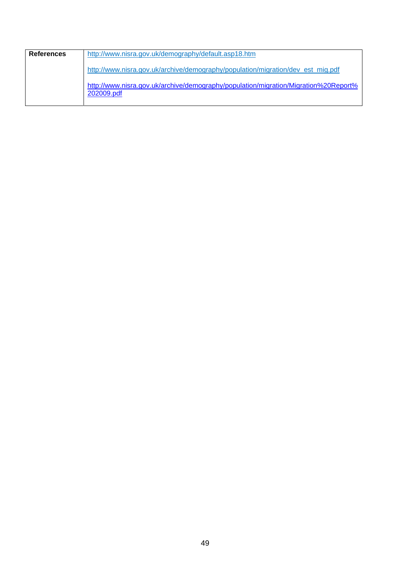| References | http://www.nisra.gov.uk/demography/default.asp18.htm                                              |
|------------|---------------------------------------------------------------------------------------------------|
|            | http://www.nisra.gov.uk/archive/demography/population/migration/dev_est_mig.pdf                   |
|            | http://www.nisra.gov.uk/archive/demography/population/migration/Migration%20Report%<br>202009.pdf |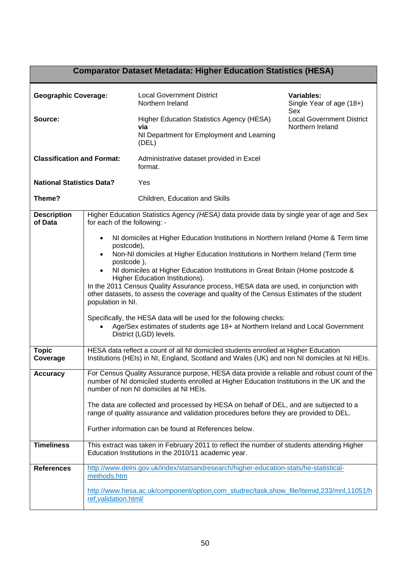| <b>Comparator Dataset Metadata: Higher Education Statistics (HESA)</b> |                                                                                                                                                                                                                                                                                                                                                                                                                                                                                                                                                                                                                                                                                                                                                               |                                                                                                                                                                                     |                                                             |  |
|------------------------------------------------------------------------|---------------------------------------------------------------------------------------------------------------------------------------------------------------------------------------------------------------------------------------------------------------------------------------------------------------------------------------------------------------------------------------------------------------------------------------------------------------------------------------------------------------------------------------------------------------------------------------------------------------------------------------------------------------------------------------------------------------------------------------------------------------|-------------------------------------------------------------------------------------------------------------------------------------------------------------------------------------|-------------------------------------------------------------|--|
| <b>Geographic Coverage:</b>                                            |                                                                                                                                                                                                                                                                                                                                                                                                                                                                                                                                                                                                                                                                                                                                                               | <b>Local Government District</b><br>Northern Ireland                                                                                                                                | Variables:<br>Single Year of age (18+)                      |  |
| Source:                                                                |                                                                                                                                                                                                                                                                                                                                                                                                                                                                                                                                                                                                                                                                                                                                                               | <b>Higher Education Statistics Agency (HESA)</b><br>via<br>NI Department for Employment and Learning<br>(DEL)                                                                       | Sex<br><b>Local Government District</b><br>Northern Ireland |  |
| <b>Classification and Format:</b>                                      |                                                                                                                                                                                                                                                                                                                                                                                                                                                                                                                                                                                                                                                                                                                                                               | Administrative dataset provided in Excel<br>format.                                                                                                                                 |                                                             |  |
| <b>National Statistics Data?</b>                                       |                                                                                                                                                                                                                                                                                                                                                                                                                                                                                                                                                                                                                                                                                                                                                               | Yes                                                                                                                                                                                 |                                                             |  |
| Theme?                                                                 |                                                                                                                                                                                                                                                                                                                                                                                                                                                                                                                                                                                                                                                                                                                                                               | Children, Education and Skills                                                                                                                                                      |                                                             |  |
| <b>Description</b><br>of Data                                          | for each of the following: -                                                                                                                                                                                                                                                                                                                                                                                                                                                                                                                                                                                                                                                                                                                                  | Higher Education Statistics Agency (HESA) data provide data by single year of age and Sex                                                                                           |                                                             |  |
|                                                                        | NI domiciles at Higher Education Institutions in Northern Ireland (Home & Term time<br>$\bullet$<br>postcode),<br>Non-NI domiciles at Higher Education Institutions in Northern Ireland (Term time<br>$\bullet$<br>postcode),<br>NI domiciles at Higher Education Institutions in Great Britain (Home postcode &<br>Higher Education Institutions).<br>In the 2011 Census Quality Assurance process, HESA data are used, in conjunction with<br>other datasets, to assess the coverage and quality of the Census Estimates of the student<br>population in NI.<br>Specifically, the HESA data will be used for the following checks:<br>Age/Sex estimates of students age 18+ at Northern Ireland and Local Government<br>$\bullet$<br>District (LGD) levels. |                                                                                                                                                                                     |                                                             |  |
| <b>Topic</b><br>Coverage                                               |                                                                                                                                                                                                                                                                                                                                                                                                                                                                                                                                                                                                                                                                                                                                                               | HESA data reflect a count of all NI domiciled students enrolled at Higher Education<br>Institutions (HEIs) in NI, England, Scotland and Wales (UK) and non NI domiciles at NI HEIs. |                                                             |  |
| <b>Accuracy</b>                                                        | For Census Quality Assurance purpose, HESA data provide a reliable and robust count of the<br>number of NI domiciled students enrolled at Higher Education Institutions in the UK and the<br>number of non NI domiciles at NI HEIs.<br>The data are collected and processed by HESA on behalf of DEL, and are subjected to a<br>range of quality assurance and validation procedures before they are provided to DEL.<br>Further information can be found at References below.                                                                                                                                                                                                                                                                                |                                                                                                                                                                                     |                                                             |  |
| <b>Timeliness</b>                                                      |                                                                                                                                                                                                                                                                                                                                                                                                                                                                                                                                                                                                                                                                                                                                                               | This extract was taken in February 2011 to reflect the number of students attending Higher<br>Education Institutions in the 2010/11 academic year.                                  |                                                             |  |
| <b>References</b>                                                      | methods.htm                                                                                                                                                                                                                                                                                                                                                                                                                                                                                                                                                                                                                                                                                                                                                   | http://www.delni.gov.uk/index/statsandresearch/higher-education-stats/he-statistical-                                                                                               |                                                             |  |
|                                                                        | ref, validation.html/                                                                                                                                                                                                                                                                                                                                                                                                                                                                                                                                                                                                                                                                                                                                         | http://www.hesa.ac.uk/component/option,com_studrec/task,show_file/Itemid,233/mnl,11051/h                                                                                            |                                                             |  |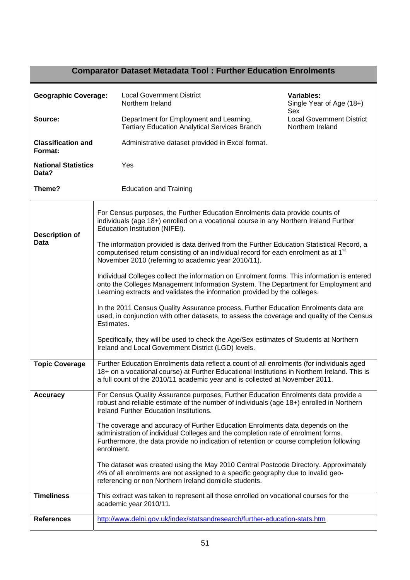| <b>Comparator Dataset Metadata Tool: Further Education Enrolments</b> |            |                                                                                                                                                                                                                                                                           |                                                      |  |
|-----------------------------------------------------------------------|------------|---------------------------------------------------------------------------------------------------------------------------------------------------------------------------------------------------------------------------------------------------------------------------|------------------------------------------------------|--|
| <b>Geographic Coverage:</b>                                           |            | <b>Local Government District</b><br>Northern Ireland                                                                                                                                                                                                                      | Variables:<br>Single Year of Age (18+)<br>Sex        |  |
| Source:                                                               |            | Department for Employment and Learning,<br><b>Tertiary Education Analytical Services Branch</b>                                                                                                                                                                           | <b>Local Government District</b><br>Northern Ireland |  |
| <b>Classification and</b><br>Format:                                  |            | Administrative dataset provided in Excel format.                                                                                                                                                                                                                          |                                                      |  |
| <b>National Statistics</b><br>Data?                                   |            | Yes                                                                                                                                                                                                                                                                       |                                                      |  |
| Theme?                                                                |            | <b>Education and Training</b>                                                                                                                                                                                                                                             |                                                      |  |
| <b>Description of</b>                                                 |            | For Census purposes, the Further Education Enrolments data provide counts of<br>individuals (age 18+) enrolled on a vocational course in any Northern Ireland Further<br>Education Institution (NIFEI).                                                                   |                                                      |  |
| <b>Data</b>                                                           |            | The information provided is data derived from the Further Education Statistical Record, a<br>computerised return consisting of an individual record for each enrolment as at 1 <sup>st</sup><br>November 2010 (referring to academic year 2010/11).                       |                                                      |  |
|                                                                       |            | Individual Colleges collect the information on Enrolment forms. This information is entered<br>onto the Colleges Management Information System. The Department for Employment and<br>Learning extracts and validates the information provided by the colleges.            |                                                      |  |
|                                                                       | Estimates. | In the 2011 Census Quality Assurance process, Further Education Enrolments data are<br>used, in conjunction with other datasets, to assess the coverage and quality of the Census                                                                                         |                                                      |  |
|                                                                       |            | Specifically, they will be used to check the Age/Sex estimates of Students at Northern<br>Ireland and Local Government District (LGD) levels.                                                                                                                             |                                                      |  |
| <b>Topic Coverage</b>                                                 |            | Further Education Enrolments data reflect a count of all enrolments (for individuals aged<br>18+ on a vocational course) at Further Educational Institutions in Northern Ireland. This is<br>a full count of the 2010/11 academic year and is collected at November 2011. |                                                      |  |
| <b>Accuracy</b>                                                       |            | For Census Quality Assurance purposes, Further Education Enrolments data provide a<br>robust and reliable estimate of the number of individuals (age 18+) enrolled in Northern<br>Ireland Further Education Institutions.                                                 |                                                      |  |
|                                                                       | enrolment. | The coverage and accuracy of Further Education Enrolments data depends on the<br>administration of individual Colleges and the completion rate of enrolment forms.<br>Furthermore, the data provide no indication of retention or course completion following             |                                                      |  |
|                                                                       |            | The dataset was created using the May 2010 Central Postcode Directory. Approximately<br>4% of all enrolments are not assigned to a specific geography due to invalid geo-<br>referencing or non Northern Ireland domicile students.                                       |                                                      |  |
| <b>Timeliness</b>                                                     |            | This extract was taken to represent all those enrolled on vocational courses for the<br>academic year 2010/11.                                                                                                                                                            |                                                      |  |
| <b>References</b>                                                     |            | http://www.delni.gov.uk/index/statsandresearch/further-education-stats.htm                                                                                                                                                                                                |                                                      |  |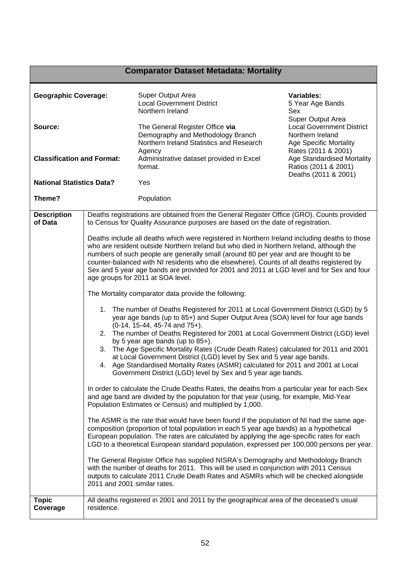|                                              |                              | <b>Comparator Dataset Metadata: Mortality</b>                                                                                                                                                                                                                                                                                                                                                                                                                                                                                                                                                                                                               |                                                                                                                                                                        |
|----------------------------------------------|------------------------------|-------------------------------------------------------------------------------------------------------------------------------------------------------------------------------------------------------------------------------------------------------------------------------------------------------------------------------------------------------------------------------------------------------------------------------------------------------------------------------------------------------------------------------------------------------------------------------------------------------------------------------------------------------------|------------------------------------------------------------------------------------------------------------------------------------------------------------------------|
| <b>Geographic Coverage:</b>                  |                              | Super Output Area<br><b>Local Government District</b><br>Northern Ireland                                                                                                                                                                                                                                                                                                                                                                                                                                                                                                                                                                                   | <b>Variables:</b><br>5 Year Age Bands<br>Sex                                                                                                                           |
| Source:<br><b>Classification and Format:</b> |                              | The General Register Office via<br>Demography and Methodology Branch<br>Northern Ireland Statistics and Research<br>Agency<br>Administrative dataset provided in Excel                                                                                                                                                                                                                                                                                                                                                                                                                                                                                      | Super Output Area<br><b>Local Government District</b><br>Northern Ireland<br><b>Age Specific Mortality</b><br>Rates (2011 & 2001)<br><b>Age Standardised Mortality</b> |
|                                              |                              | format.                                                                                                                                                                                                                                                                                                                                                                                                                                                                                                                                                                                                                                                     | Ratios (2011 & 2001)<br>Deaths (2011 & 2001)                                                                                                                           |
| <b>National Statistics Data?</b>             |                              | Yes                                                                                                                                                                                                                                                                                                                                                                                                                                                                                                                                                                                                                                                         |                                                                                                                                                                        |
| Theme?                                       |                              | Population                                                                                                                                                                                                                                                                                                                                                                                                                                                                                                                                                                                                                                                  |                                                                                                                                                                        |
| <b>Description</b><br>of Data                |                              | Deaths registrations are obtained from the General Register Office (GRO). Counts provided<br>to Census for Quality Assurance purposes are based on the date of registration.                                                                                                                                                                                                                                                                                                                                                                                                                                                                                |                                                                                                                                                                        |
|                                              |                              | Deaths include all deaths which were registered in Northern Ireland including deaths to those<br>who are resident outside Northern Ireland but who died in Northern Ireland, although the<br>numbers of such people are generally small (around 80 per year and are thought to be<br>counter-balanced with NI residents who die elsewhere). Counts of all deaths registered by<br>Sex and 5 year age bands are provided for 2001 and 2011 at LGD level and for Sex and four<br>age groups for 2011 at SOA level.                                                                                                                                            |                                                                                                                                                                        |
|                                              |                              | The Mortality comparator data provide the following:                                                                                                                                                                                                                                                                                                                                                                                                                                                                                                                                                                                                        |                                                                                                                                                                        |
|                                              |                              | 1. The number of Deaths Registered for 2011 at Local Government District (LGD) by 5<br>year age bands (up to 85+) and Super Output Area (SOA) level for four age bands<br>$(0-14, 15-44, 45-74, and 75+).$<br>2. The number of Deaths Registered for 2001 at Local Government District (LGD) level<br>by 5 year age bands (up to 85+).<br>3. The Age Specific Mortality Rates (Crude Death Rates) calculated for 2011 and 2001<br>at Local Government District (LGD) level by Sex and 5 year age bands.<br>4. Age Standardised Mortality Rates (ASMR) calculated for 2011 and 2001 at Local<br>Government District (LGD) level by Sex and 5 year age bands. |                                                                                                                                                                        |
|                                              |                              | In order to calculate the Crude Deaths Rates, the deaths from a particular year for each Sex<br>and age band are divided by the population for that year (using, for example, Mid-Year<br>Population Estimates or Census) and multiplied by 1,000.                                                                                                                                                                                                                                                                                                                                                                                                          |                                                                                                                                                                        |
|                                              |                              | The ASMR is the rate that would have been found if the population of NI had the same age-<br>composition (proportion of total population in each 5 year age bands) as a hypothetical<br>European population. The rates are calculated by applying the age-specific rates for each<br>LGD to a theoretical European standard population, expressed per 100,000 persons per year.                                                                                                                                                                                                                                                                             |                                                                                                                                                                        |
|                                              | 2011 and 2001 similar rates. | The General Register Office has supplied NISRA's Demography and Methodology Branch<br>with the number of deaths for 2011. This will be used in conjunction with 2011 Census<br>outputs to calculate 2011 Crude Death Rates and ASMRs which will be checked alongside                                                                                                                                                                                                                                                                                                                                                                                        |                                                                                                                                                                        |
| <b>Topic</b><br>Coverage                     | residence.                   | All deaths registered in 2001 and 2011 by the geographical area of the deceased's usual                                                                                                                                                                                                                                                                                                                                                                                                                                                                                                                                                                     |                                                                                                                                                                        |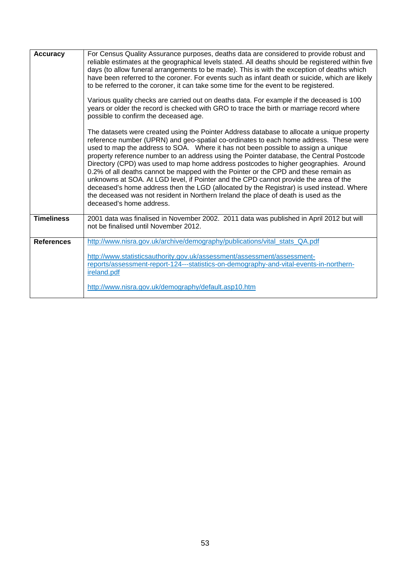| <b>Accuracy</b>   | For Census Quality Assurance purposes, deaths data are considered to provide robust and<br>reliable estimates at the geographical levels stated. All deaths should be registered within five<br>days (to allow funeral arrangements to be made). This is with the exception of deaths which<br>have been referred to the coroner. For events such as infant death or suicide, which are likely<br>to be referred to the coroner, it can take some time for the event to be registered.<br>Various quality checks are carried out on deaths data. For example if the deceased is 100<br>years or older the record is checked with GRO to trace the birth or marriage record where<br>possible to confirm the deceased age.<br>The datasets were created using the Pointer Address database to allocate a unique property<br>reference number (UPRN) and geo-spatial co-ordinates to each home address. These were<br>used to map the address to SOA. Where it has not been possible to assign a unique<br>property reference number to an address using the Pointer database, the Central Postcode<br>Directory (CPD) was used to map home address postcodes to higher geographies. Around<br>0.2% of all deaths cannot be mapped with the Pointer or the CPD and these remain as<br>unknowns at SOA. At LGD level, if Pointer and the CPD cannot provide the area of the<br>deceased's home address then the LGD (allocated by the Registrar) is used instead. Where<br>the deceased was not resident in Northern Ireland the place of death is used as the<br>deceased's home address. |
|-------------------|-----------------------------------------------------------------------------------------------------------------------------------------------------------------------------------------------------------------------------------------------------------------------------------------------------------------------------------------------------------------------------------------------------------------------------------------------------------------------------------------------------------------------------------------------------------------------------------------------------------------------------------------------------------------------------------------------------------------------------------------------------------------------------------------------------------------------------------------------------------------------------------------------------------------------------------------------------------------------------------------------------------------------------------------------------------------------------------------------------------------------------------------------------------------------------------------------------------------------------------------------------------------------------------------------------------------------------------------------------------------------------------------------------------------------------------------------------------------------------------------------------------------------------------------------------------------------------------------|
| <b>Timeliness</b> | 2001 data was finalised in November 2002. 2011 data was published in April 2012 but will<br>not be finalised until November 2012.                                                                                                                                                                                                                                                                                                                                                                                                                                                                                                                                                                                                                                                                                                                                                                                                                                                                                                                                                                                                                                                                                                                                                                                                                                                                                                                                                                                                                                                       |
| <b>References</b> | http://www.nisra.gov.uk/archive/demography/publications/vital_stats_QA.pdf<br>http://www.statisticsauthority.gov.uk/assessment/assessment/assessment-<br>reports/assessment-report-124---statistics-on-demography-and-vital-events-in-northern-<br>ireland.pdf<br>http://www.nisra.gov.uk/demography/default.asp10.htm                                                                                                                                                                                                                                                                                                                                                                                                                                                                                                                                                                                                                                                                                                                                                                                                                                                                                                                                                                                                                                                                                                                                                                                                                                                                  |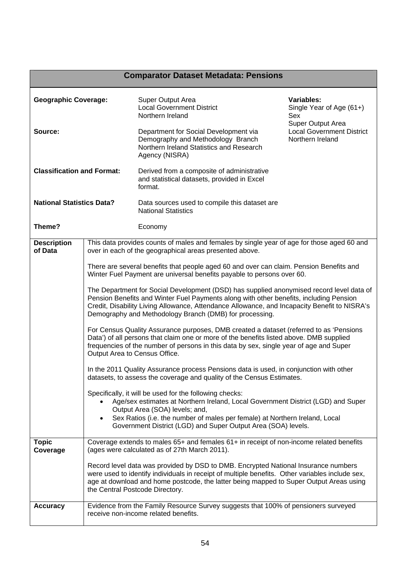|                                   |           | <b>Comparator Dataset Metadata: Pensions</b>                                                                                                                                                                                                                                                                                                  |                                                                           |
|-----------------------------------|-----------|-----------------------------------------------------------------------------------------------------------------------------------------------------------------------------------------------------------------------------------------------------------------------------------------------------------------------------------------------|---------------------------------------------------------------------------|
| <b>Geographic Coverage:</b>       |           | Super Output Area<br><b>Local Government District</b><br>Northern Ireland                                                                                                                                                                                                                                                                     | <b>Variables:</b><br>Single Year of Age (61+)<br>Sex                      |
| Source:                           |           | Department for Social Development via<br>Demography and Methodology Branch<br>Northern Ireland Statistics and Research<br>Agency (NISRA)                                                                                                                                                                                                      | Super Output Area<br><b>Local Government District</b><br>Northern Ireland |
| <b>Classification and Format:</b> |           | Derived from a composite of administrative<br>and statistical datasets, provided in Excel<br>format.                                                                                                                                                                                                                                          |                                                                           |
| <b>National Statistics Data?</b>  |           | Data sources used to compile this dataset are<br><b>National Statistics</b>                                                                                                                                                                                                                                                                   |                                                                           |
| Theme?                            |           | Economy                                                                                                                                                                                                                                                                                                                                       |                                                                           |
| <b>Description</b><br>of Data     |           | This data provides counts of males and females by single year of age for those aged 60 and<br>over in each of the geographical areas presented above.                                                                                                                                                                                         |                                                                           |
|                                   |           | There are several benefits that people aged 60 and over can claim. Pension Benefits and<br>Winter Fuel Payment are universal benefits payable to persons over 60.                                                                                                                                                                             |                                                                           |
|                                   |           | The Department for Social Development (DSD) has supplied anonymised record level data of<br>Pension Benefits and Winter Fuel Payments along with other benefits, including Pension<br>Credit, Disability Living Allowance, Attendance Allowance, and Incapacity Benefit to NISRA's<br>Demography and Methodology Branch (DMB) for processing. |                                                                           |
|                                   |           | For Census Quality Assurance purposes, DMB created a dataset (referred to as 'Pensions<br>Data') of all persons that claim one or more of the benefits listed above. DMB supplied<br>frequencies of the number of persons in this data by sex, single year of age and Super<br>Output Area to Census Office.                                  |                                                                           |
|                                   |           | In the 2011 Quality Assurance process Pensions data is used, in conjunction with other<br>datasets, to assess the coverage and quality of the Census Estimates.                                                                                                                                                                               |                                                                           |
|                                   | $\bullet$ | Specifically, it will be used for the following checks:<br>Age/sex estimates at Northern Ireland, Local Government District (LGD) and Super<br>Output Area (SOA) levels; and,<br>Sex Ratios (i.e. the number of males per female) at Northern Ireland, Local<br>Government District (LGD) and Super Output Area (SOA) levels.                 |                                                                           |
| <b>Topic</b><br>Coverage          |           | Coverage extends to males 65+ and females 61+ in receipt of non-income related benefits<br>(ages were calculated as of 27th March 2011).                                                                                                                                                                                                      |                                                                           |
|                                   |           | Record level data was provided by DSD to DMB. Encrypted National Insurance numbers<br>were used to identify individuals in receipt of multiple benefits. Other variables include sex,<br>age at download and home postcode, the latter being mapped to Super Output Areas using<br>the Central Postcode Directory.                            |                                                                           |
| <b>Accuracy</b>                   |           | Evidence from the Family Resource Survey suggests that 100% of pensioners surveyed<br>receive non-income related benefits.                                                                                                                                                                                                                    |                                                                           |